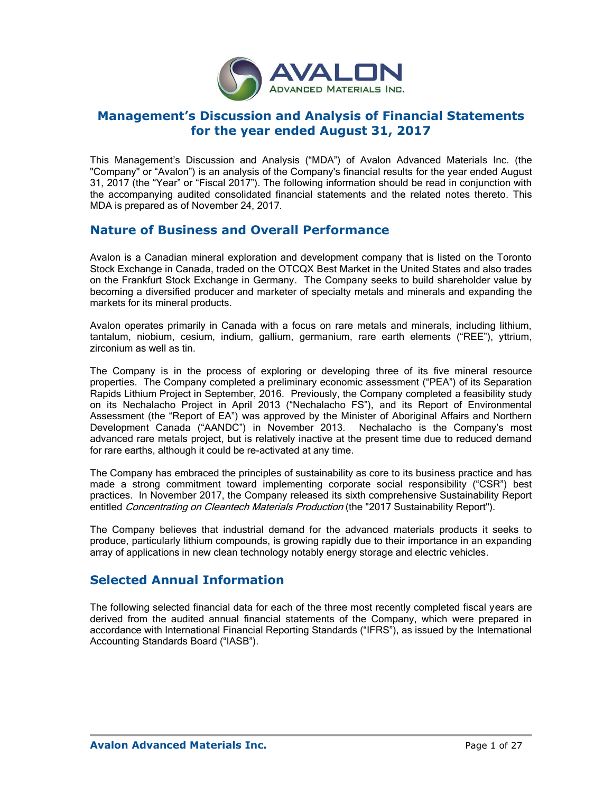

# **Management's Discussion and Analysis of Financial Statements for the year ended August 31, 2017**

This Management's Discussion and Analysis ("MDA") of Avalon Advanced Materials Inc. (the "Company" or "Avalon") is an analysis of the Company's financial results for the year ended August 31, 2017 (the "Year" or "Fiscal 2017"). The following information should be read in conjunction with the accompanying audited consolidated financial statements and the related notes thereto. This MDA is prepared as of November 24, 2017.

## **Nature of Business and Overall Performance**

Avalon is a Canadian mineral exploration and development company that is listed on the Toronto Stock Exchange in Canada, traded on the OTCQX Best Market in the United States and also trades on the Frankfurt Stock Exchange in Germany. The Company seeks to build shareholder value by becoming a diversified producer and marketer of specialty metals and minerals and expanding the markets for its mineral products.

Avalon operates primarily in Canada with a focus on rare metals and minerals, including lithium, tantalum, niobium, cesium, indium, gallium, germanium, rare earth elements ("REE"), yttrium, zirconium as well as tin.

The Company is in the process of exploring or developing three of its five mineral resource properties. The Company completed a preliminary economic assessment ("PEA") of its Separation Rapids Lithium Project in September, 2016. Previously, the Company completed a feasibility study on its Nechalacho Project in April 2013 ("Nechalacho FS"), and its Report of Environmental Assessment (the "Report of EA") was approved by the Minister of Aboriginal Affairs and Northern Development Canada ("AANDC") in November 2013. Nechalacho is the Company's most advanced rare metals project, but is relatively inactive at the present time due to reduced demand for rare earths, although it could be re-activated at any time.

The Company has embraced the principles of sustainability as core to its business practice and has made a strong commitment toward implementing corporate social responsibility ("CSR") best practices. In November 2017, the Company released its sixth comprehensive Sustainability Report entitled Concentrating on Cleantech Materials Production (the "2017 Sustainability Report").

The Company believes that industrial demand for the advanced materials products it seeks to produce, particularly lithium compounds, is growing rapidly due to their importance in an expanding array of applications in new clean technology notably energy storage and electric vehicles.

# **Selected Annual Information**

The following selected financial data for each of the three most recently completed fiscal years are derived from the audited annual financial statements of the Company, which were prepared in accordance with International Financial Reporting Standards ("IFRS"), as issued by the International Accounting Standards Board ("IASB").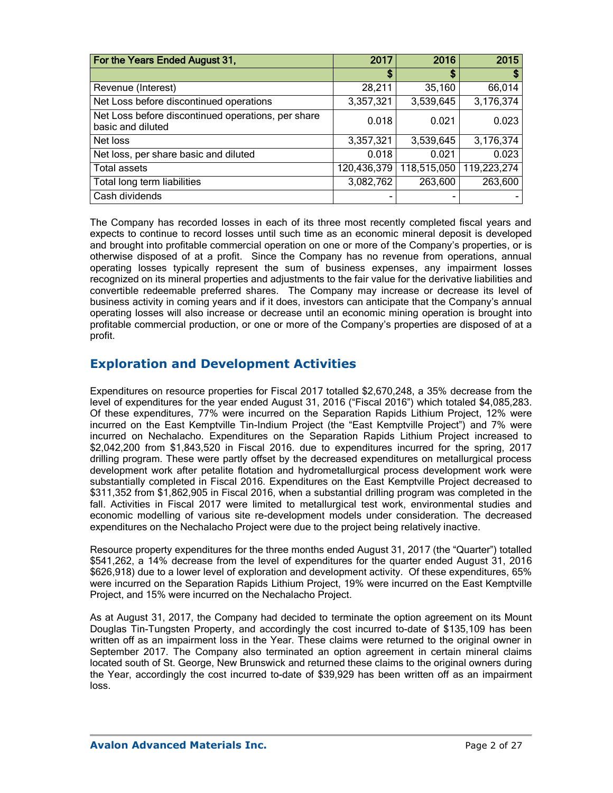| For the Years Ended August 31,                                          | 2017        | 2016        | 2015        |
|-------------------------------------------------------------------------|-------------|-------------|-------------|
|                                                                         | \$          | S           | \$          |
| Revenue (Interest)                                                      | 28,211      | 35,160      | 66,014      |
| Net Loss before discontinued operations                                 | 3,357,321   | 3,539,645   | 3,176,374   |
| Net Loss before discontinued operations, per share<br>basic and diluted | 0.018       | 0.021       | 0.023       |
| Net loss                                                                | 3,357,321   | 3,539,645   | 3,176,374   |
| Net loss, per share basic and diluted                                   | 0.018       | 0.021       | 0.023       |
| <b>Total assets</b>                                                     | 120,436,379 | 118,515,050 | 119,223,274 |
| Total long term liabilities                                             | 3,082,762   | 263,600     | 263,600     |
| Cash dividends                                                          |             |             |             |

The Company has recorded losses in each of its three most recently completed fiscal years and expects to continue to record losses until such time as an economic mineral deposit is developed and brought into profitable commercial operation on one or more of the Company's properties, or is otherwise disposed of at a profit. Since the Company has no revenue from operations, annual operating losses typically represent the sum of business expenses, any impairment losses recognized on its mineral properties and adjustments to the fair value for the derivative liabilities and convertible redeemable preferred shares. The Company may increase or decrease its level of business activity in coming years and if it does, investors can anticipate that the Company's annual operating losses will also increase or decrease until an economic mining operation is brought into profitable commercial production, or one or more of the Company's properties are disposed of at a profit.

# **Exploration and Development Activities**

Expenditures on resource properties for Fiscal 2017 totalled \$2,670,248, a 35% decrease from the level of expenditures for the year ended August 31, 2016 ("Fiscal 2016") which totaled \$4,085,283. Of these expenditures, 77% were incurred on the Separation Rapids Lithium Project, 12% were incurred on the East Kemptville Tin-Indium Project (the "East Kemptville Project") and 7% were incurred on Nechalacho. Expenditures on the Separation Rapids Lithium Project increased to \$2,042,200 from \$1,843,520 in Fiscal 2016. due to expenditures incurred for the spring, 2017 drilling program. These were partly offset by the decreased expenditures on metallurgical process development work after petalite flotation and hydrometallurgical process development work were substantially completed in Fiscal 2016. Expenditures on the East Kemptville Project decreased to \$311,352 from \$1,862,905 in Fiscal 2016, when a substantial drilling program was completed in the fall. Activities in Fiscal 2017 were limited to metallurgical test work, environmental studies and economic modelling of various site re-development models under consideration. The decreased expenditures on the Nechalacho Project were due to the project being relatively inactive.

Resource property expenditures for the three months ended August 31, 2017 (the "Quarter") totalled \$541,262, a 14% decrease from the level of expenditures for the quarter ended August 31, 2016 \$626,918) due to a lower level of exploration and development activity. Of these expenditures, 65% were incurred on the Separation Rapids Lithium Project, 19% were incurred on the East Kemptville Project, and 15% were incurred on the Nechalacho Project.

As at August 31, 2017, the Company had decided to terminate the option agreement on its Mount Douglas Tin-Tungsten Property, and accordingly the cost incurred to-date of \$135,109 has been written off as an impairment loss in the Year. These claims were returned to the original owner in September 2017. The Company also terminated an option agreement in certain mineral claims located south of St. George, New Brunswick and returned these claims to the original owners during the Year, accordingly the cost incurred to-date of \$39,929 has been written off as an impairment loss.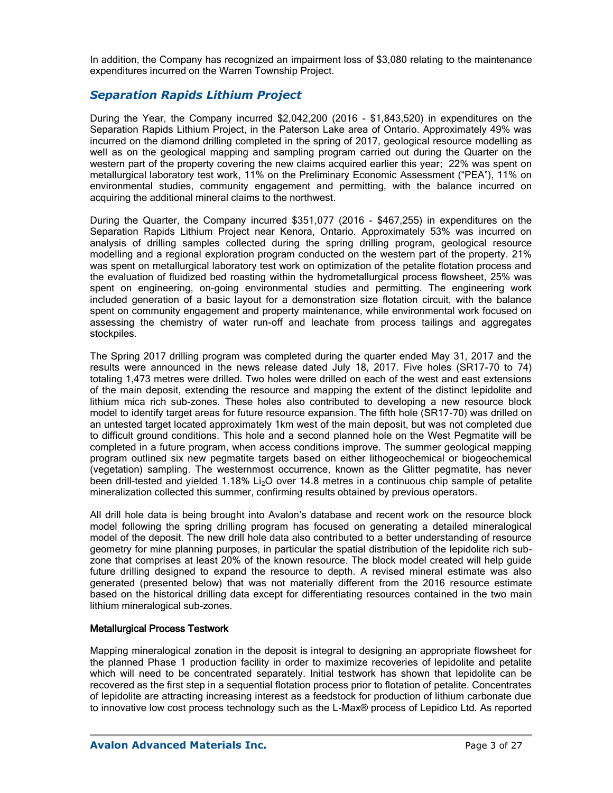In addition, the Company has recognized an impairment loss of \$3,080 relating to the maintenance expenditures incurred on the Warren Township Project.

## *Separation Rapids Lithium Project*

During the Year, the Company incurred \$2,042,200 (2016 - \$1,843,520) in expenditures on the Separation Rapids Lithium Project, in the Paterson Lake area of Ontario. Approximately 49% was incurred on the diamond drilling completed in the spring of 2017, geological resource modelling as well as on the geological mapping and sampling program carried out during the Quarter on the western part of the property covering the new claims acquired earlier this year; 22% was spent on metallurgical laboratory test work, 11% on the Preliminary Economic Assessment ("PEA"), 11% on environmental studies, community engagement and permitting, with the balance incurred on acquiring the additional mineral claims to the northwest.

During the Quarter, the Company incurred \$351,077 (2016 - \$467,255) in expenditures on the Separation Rapids Lithium Project near Kenora, Ontario. Approximately 53% was incurred on analysis of drilling samples collected during the spring drilling program, geological resource modelling and a regional exploration program conducted on the western part of the property. 21% was spent on metallurgical laboratory test work on optimization of the petalite flotation process and the evaluation of fluidized bed roasting within the hydrometallurgical process flowsheet, 25% was spent on engineering, on-going environmental studies and permitting. The engineering work included generation of a basic layout for a demonstration size flotation circuit, with the balance spent on community engagement and property maintenance, while environmental work focused on assessing the chemistry of water run-off and leachate from process tailings and aggregates stockpiles.

The Spring 2017 drilling program was completed during the quarter ended May 31, 2017 and the results were announced in the news release dated July 18, 2017. Five holes (SR17-70 to 74) totaling 1,473 metres were drilled. Two holes were drilled on each of the west and east extensions of the main deposit, extending the resource and mapping the extent of the distinct lepidolite and lithium mica rich sub-zones. These holes also contributed to developing a new resource block model to identify target areas for future resource expansion. The fifth hole (SR17-70) was drilled on an untested target located approximately 1km west of the main deposit, but was not completed due to difficult ground conditions. This hole and a second planned hole on the West Pegmatite will be completed in a future program, when access conditions improve. The summer geological mapping program outlined six new pegmatite targets based on either lithogeochemical or biogeochemical (vegetation) sampling. The westernmost occurrence, known as the Glitter pegmatite, has never been drill-tested and vielded 1.18% Li<sub>2</sub>O over 14.8 metres in a continuous chip sample of petalite mineralization collected this summer, confirming results obtained by previous operators.

All drill hole data is being brought into Avalon's database and recent work on the resource block model following the spring drilling program has focused on generating a detailed mineralogical model of the deposit. The new drill hole data also contributed to a better understanding of resource geometry for mine planning purposes, in particular the spatial distribution of the lepidolite rich subzone that comprises at least 20% of the known resource. The block model created will help guide future drilling designed to expand the resource to depth. A revised mineral estimate was also generated (presented below) that was not materially different from the 2016 resource estimate based on the historical drilling data except for differentiating resources contained in the two main lithium mineralogical sub-zones.

### Metallurgical Process Testwork

Mapping mineralogical zonation in the deposit is integral to designing an appropriate flowsheet for the planned Phase 1 production facility in order to maximize recoveries of lepidolite and petalite which will need to be concentrated separately. Initial testwork has shown that lepidolite can be recovered as the first step in a sequential flotation process prior to flotation of petalite. Concentrates of lepidolite are attracting increasing interest as a feedstock for production of lithium carbonate due to innovative low cost process technology such as the L-Max® process of Lepidico Ltd. As reported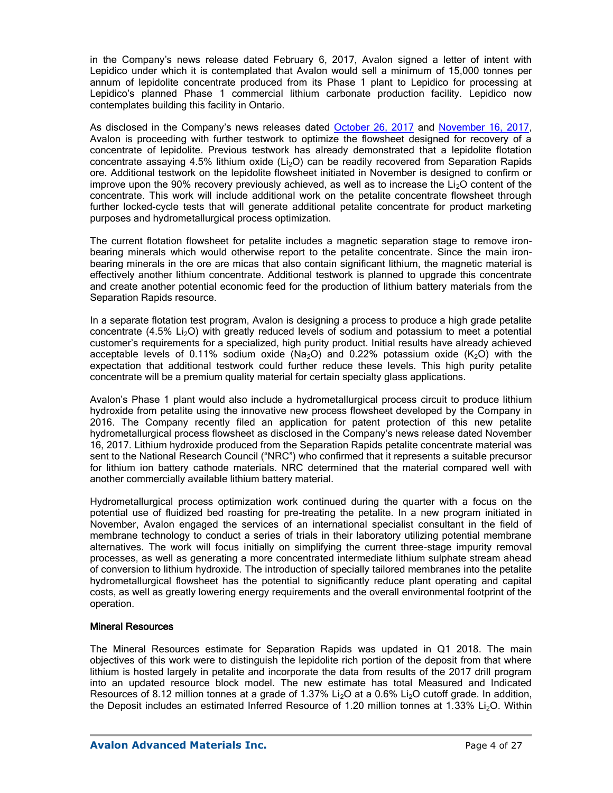in the Company's news release dated February 6, 2017, Avalon signed a letter of intent with Lepidico under which it is contemplated that Avalon would sell a minimum of 15,000 tonnes per annum of lepidolite concentrate produced from its Phase 1 plant to Lepidico for processing at Lepidico's planned Phase 1 commercial lithium carbonate production facility. Lepidico now contemplates building this facility in Ontario.

As disclosed in the Company's news releases dated [October 26, 2017](http://avalonadvancedmaterials.com/news_media/display/index.php?id=29974) and [November 16, 2017,](http://www.avalonadvancedmaterials.com/news_media/display/index.php?id=30518) Avalon is proceeding with further testwork to optimize the flowsheet designed for recovery of a concentrate of lepidolite. Previous testwork has already demonstrated that a lepidolite flotation concentrate assaying  $4.5\%$  lithium oxide (Li<sub>2</sub>O) can be readily recovered from Separation Rapids ore. Additional testwork on the lepidolite flowsheet initiated in November is designed to confirm or improve upon the 90% recovery previously achieved, as well as to increase the  $Li<sub>2</sub>O$  content of the concentrate. This work will include additional work on the petalite concentrate flowsheet through further locked-cycle tests that will generate additional petalite concentrate for product marketing purposes and hydrometallurgical process optimization.

The current flotation flowsheet for petalite includes a magnetic separation stage to remove ironbearing minerals which would otherwise report to the petalite concentrate. Since the main ironbearing minerals in the ore are micas that also contain significant lithium, the magnetic material is effectively another lithium concentrate. Additional testwork is planned to upgrade this concentrate and create another potential economic feed for the production of lithium battery materials from the Separation Rapids resource.

In a separate flotation test program, Avalon is designing a process to produce a high grade petalite concentrate  $(4.5\%$  Li<sub>2</sub>O) with greatly reduced levels of sodium and potassium to meet a potential customer's requirements for a specialized, high purity product. Initial results have already achieved acceptable levels of 0.11% sodium oxide  $(Na<sub>2</sub>O)$  and 0.22% potassium oxide  $(K<sub>2</sub>O)$  with the expectation that additional testwork could further reduce these levels. This high purity petalite concentrate will be a premium quality material for certain specialty glass applications.

Avalon's Phase 1 plant would also include a hydrometallurgical process circuit to produce lithium hydroxide from petalite using the innovative new process flowsheet developed by the Company in 2016. The Company recently filed an application for patent protection of this new petalite hydrometallurgical process flowsheet as disclosed in the Company's news release dated November 16, 2017. Lithium hydroxide produced from the Separation Rapids petalite concentrate material was sent to the National Research Council ("NRC") who confirmed that it represents a suitable precursor for lithium ion battery cathode materials. NRC determined that the material compared well with another commercially available lithium battery material.

Hydrometallurgical process optimization work continued during the quarter with a focus on the potential use of fluidized bed roasting for pre-treating the petalite. In a new program initiated in November, Avalon engaged the services of an international specialist consultant in the field of membrane technology to conduct a series of trials in their laboratory utilizing potential membrane alternatives. The work will focus initially on simplifying the current three-stage impurity removal processes, as well as generating a more concentrated intermediate lithium sulphate stream ahead of conversion to lithium hydroxide. The introduction of specially tailored membranes into the petalite hydrometallurgical flowsheet has the potential to significantly reduce plant operating and capital costs, as well as greatly lowering energy requirements and the overall environmental footprint of the operation.

### Mineral Resources

The Mineral Resources estimate for Separation Rapids was updated in Q1 2018. The main objectives of this work were to distinguish the lepidolite rich portion of the deposit from that where lithium is hosted largely in petalite and incorporate the data from results of the 2017 drill program into an updated resource block model. The new estimate has total Measured and Indicated Resources of 8.12 million tonnes at a grade of 1.37% Li<sub>2</sub>O at a 0.6% Li<sub>2</sub>O cutoff grade. In addition, the Deposit includes an estimated Inferred Resource of 1.20 million tonnes at 1.33%  $Li<sub>2</sub>O$ . Within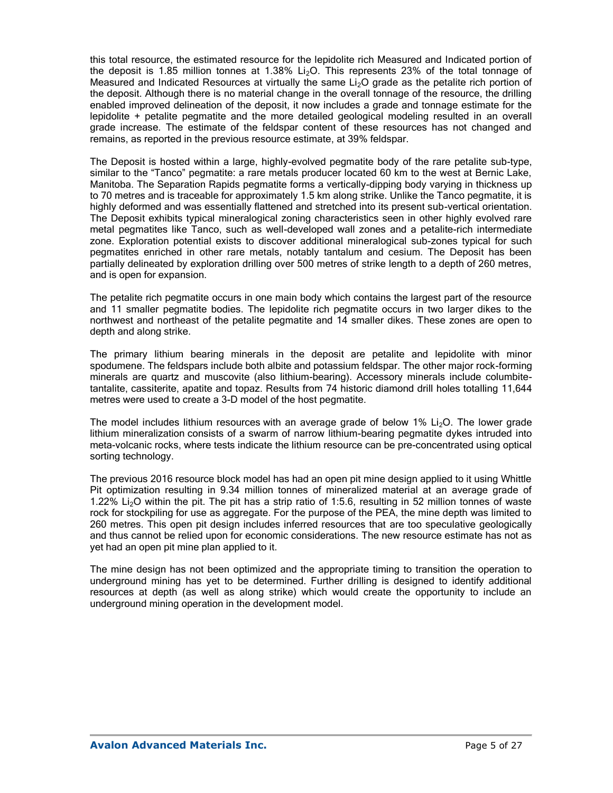this total resource, the estimated resource for the lepidolite rich Measured and Indicated portion of the deposit is 1.85 million tonnes at 1.38% Li<sub>2</sub>O. This represents 23% of the total tonnage of Measured and Indicated Resources at virtually the same  $Li<sub>2</sub>O$  grade as the petalite rich portion of the deposit. Although there is no material change in the overall tonnage of the resource, the drilling enabled improved delineation of the deposit, it now includes a grade and tonnage estimate for the lepidolite + petalite pegmatite and the more detailed geological modeling resulted in an overall grade increase. The estimate of the feldspar content of these resources has not changed and remains, as reported in the previous resource estimate, at 39% feldspar.

The Deposit is hosted within a large, highly-evolved pegmatite body of the rare petalite sub-type, similar to the "Tanco" pegmatite: a rare metals producer located 60 km to the west at Bernic Lake, Manitoba. The Separation Rapids pegmatite forms a vertically-dipping body varying in thickness up to 70 metres and is traceable for approximately 1.5 km along strike. Unlike the Tanco pegmatite, it is highly deformed and was essentially flattened and stretched into its present sub-vertical orientation. The Deposit exhibits typical mineralogical zoning characteristics seen in other highly evolved rare metal pegmatites like Tanco, such as well-developed wall zones and a petalite-rich intermediate zone. Exploration potential exists to discover additional mineralogical sub-zones typical for such pegmatites enriched in other rare metals, notably tantalum and cesium. The Deposit has been partially delineated by exploration drilling over 500 metres of strike length to a depth of 260 metres, and is open for expansion.

The petalite rich pegmatite occurs in one main body which contains the largest part of the resource and 11 smaller pegmatite bodies. The lepidolite rich pegmatite occurs in two larger dikes to the northwest and northeast of the petalite pegmatite and 14 smaller dikes. These zones are open to depth and along strike.

The primary lithium bearing minerals in the deposit are petalite and lepidolite with minor spodumene. The feldspars include both albite and potassium feldspar. The other major rock-forming minerals are quartz and muscovite (also lithium-bearing). Accessory minerals include columbitetantalite, cassiterite, apatite and topaz. Results from 74 historic diamond drill holes totalling 11,644 metres were used to create a 3-D model of the host pegmatite.

The model includes lithium resources with an average grade of below 1% Li<sub>2</sub>O. The lower grade lithium mineralization consists of a swarm of narrow lithium-bearing pegmatite dykes intruded into meta-volcanic rocks, where tests indicate the lithium resource can be pre-concentrated using optical sorting technology.

The previous 2016 resource block model has had an open pit mine design applied to it using Whittle Pit optimization resulting in 9.34 million tonnes of mineralized material at an average grade of 1.22% Li<sub>2</sub>O within the pit. The pit has a strip ratio of 1:5.6, resulting in 52 million tonnes of waste rock for stockpiling for use as aggregate. For the purpose of the PEA, the mine depth was limited to 260 metres. This open pit design includes inferred resources that are too speculative geologically and thus cannot be relied upon for economic considerations. The new resource estimate has not as yet had an open pit mine plan applied to it.

The mine design has not been optimized and the appropriate timing to transition the operation to underground mining has yet to be determined. Further drilling is designed to identify additional resources at depth (as well as along strike) which would create the opportunity to include an underground mining operation in the development model.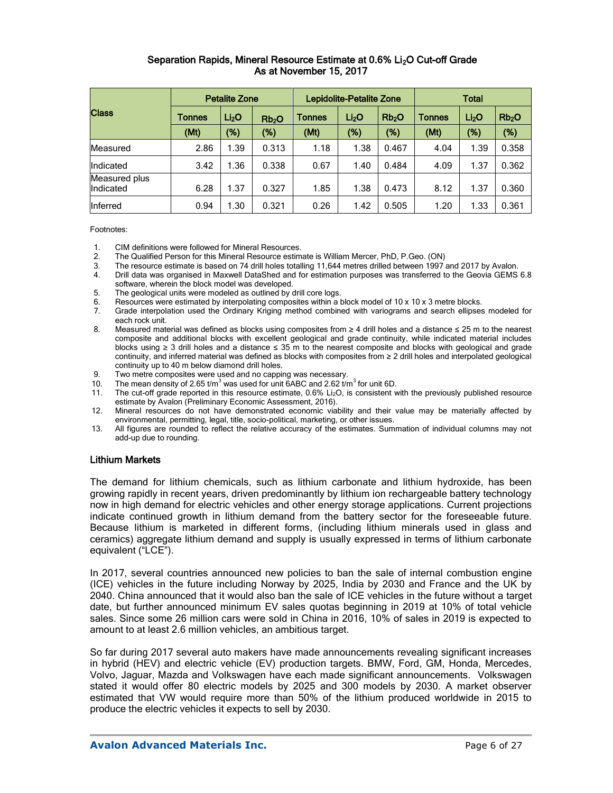### Separation Rapids, Mineral Resource Estimate at 0.6% Li<sub>2</sub>O Cut-off Grade As at November 15, 2017

|                            |               | <b>Petalite Zone</b> |                   |                             | Lepidolite-Petalite Zone |                   | <b>Total</b>  |                   |                   |  |
|----------------------------|---------------|----------------------|-------------------|-----------------------------|--------------------------|-------------------|---------------|-------------------|-------------------|--|
| <b>Class</b>               | <b>Tonnes</b> | Li <sub>2</sub> O    | Rb <sub>2</sub> O | Li <sub>2</sub> O<br>Tonnes |                          | Rb <sub>2</sub> O | <b>Tonnes</b> | Li <sub>2</sub> O | Rb <sub>2</sub> O |  |
|                            | (Mt)          | (%)                  | (%)               | (Mt)                        | $(\%)$                   | $(\%)$            | (Mt)          | (%)               | (%)               |  |
| Measured                   | 2.86          | 1.39                 | 0.313             | 1.18                        | 1.38                     | 0.467             | 4.04          | 1.39              | 0.358             |  |
| Indicated                  | 3.42          | 1.36                 | 0.338             | 0.67                        | 1.40                     | 0.484             | 4.09          | 1.37              | 0.362             |  |
| Measured plus<br>Indicated | 6.28          | 1.37                 | 0.327             | 1.85                        | 1.38                     | 0.473             | 8.12          | 1.37              | 0.360             |  |
| Inferred                   | 0.94          | 1.30                 | 0.321             | 0.26                        | 1.42                     | 0.505             | 1.20          | 1.33              | 0.361             |  |

Footnotes:

- 1. CIM definitions were followed for Mineral Resources.<br>2. The Qualified Person for this Mineral Resource estim
- 2. The Qualified Person for this Mineral Resource estimate is William Mercer, PhD, P.Geo. (ON)
- 3. The resource estimate is based on 74 drill holes totalling 11,644 metres drilled between 1997 and 2017 by Avalon.
- 4. Drill data was organised in Maxwell DataShed and for estimation purposes was transferred to the Geovia GEMS 6.8 software, wherein the block model was developed.
- 5. The geological units were modeled as outlined by drill core logs.
- 6. Resources were estimated by interpolating composites within a block model of 10 x 10 x 3 metre blocks.<br>7. Grade interpolation used the Ordinary Kriging method combined with variograms and search ellipses
- 7. Grade interpolation used the Ordinary Kriging method combined with variograms and search ellipses modeled for each rock unit.
- 8. Measured material was defined as blocks using composites from ≥ 4 drill holes and a distance ≤ 25 m to the nearest composite and additional blocks with excellent geological and grade continuity, while indicated material includes blocks using ≥ 3 drill holes and a distance ≤ 35 m to the nearest composite and blocks with geological and grade continuity, and inferred material was defined as blocks with composites from ≥ 2 drill holes and interpolated geological continuity up to 40 m below diamond drill holes.
- 9. Two metre composites were used and no capping was necessary.
- 10. The mean density of 2.65  $t/m<sup>3</sup>$  was used for unit 6ABC and 2.62  $t/m<sup>3</sup>$  for unit 6D.
- 11. The cut-off grade reported in this resource estimate,  $0.6\%$  Li<sub>2</sub>O, is consistent with the previously published resource estimate by Avalon (Preliminary Economic Assessment, 2016).
- 12. Mineral resources do not have demonstrated economic viability and their value may be materially affected by environmental, permitting, legal, title, socio-political, marketing, or other issues.
- 13. All figures are rounded to reflect the relative accuracy of the estimates. Summation of individual columns may not add-up due to rounding.

#### Lithium Markets

The demand for lithium chemicals, such as lithium carbonate and lithium hydroxide, has been growing rapidly in recent years, driven predominantly by lithium ion rechargeable battery technology now in high demand for electric vehicles and other energy storage applications. Current projections indicate continued growth in lithium demand from the battery sector for the foreseeable future. Because lithium is marketed in different forms, (including lithium minerals used in glass and ceramics) aggregate lithium demand and supply is usually expressed in terms of lithium carbonate equivalent ("LCE").

In 2017, several countries announced new policies to ban the sale of internal combustion engine (ICE) vehicles in the future including Norway by 2025, India by 2030 and France and the UK by 2040. China announced that it would also ban the sale of ICE vehicles in the future without a target date, but further announced minimum EV sales quotas beginning in 2019 at 10% of total vehicle sales. Since some 26 million cars were sold in China in 2016, 10% of sales in 2019 is expected to amount to at least 2.6 million vehicles, an ambitious target.

So far during 2017 several auto makers have made announcements revealing significant increases in hybrid (HEV) and electric vehicle (EV) production targets. BMW, Ford, GM, Honda, Mercedes, Volvo, Jaguar, Mazda and Volkswagen have each made significant announcements. Volkswagen stated it would offer 80 electric models by 2025 and 300 models by 2030. A market observer estimated that VW would require more than 50% of the lithium produced worldwide in 2015 to produce the electric vehicles it expects to sell by 2030.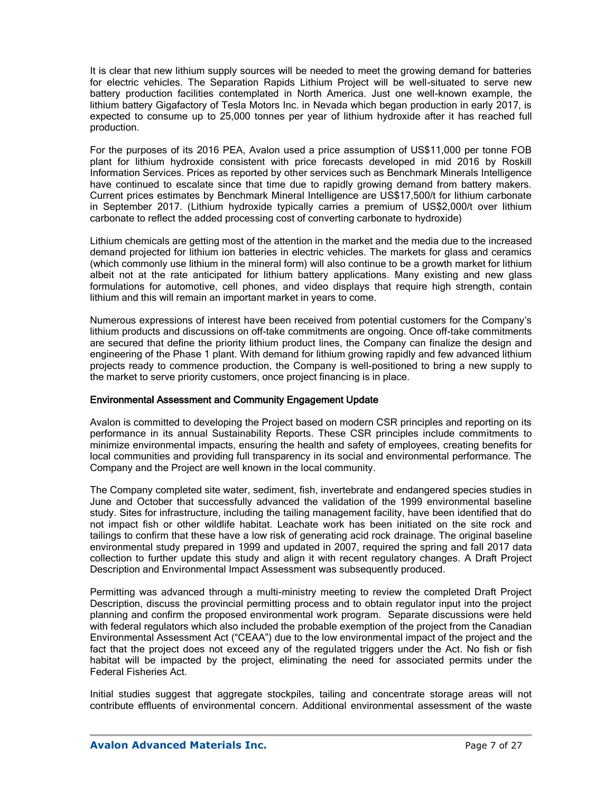It is clear that new lithium supply sources will be needed to meet the growing demand for batteries for electric vehicles. The Separation Rapids Lithium Project will be well-situated to serve new battery production facilities contemplated in North America. Just one well-known example, the lithium battery Gigafactory of Tesla Motors Inc. in Nevada which began production in early 2017, is expected to consume up to 25,000 tonnes per year of lithium hydroxide after it has reached full production.

For the purposes of its 2016 PEA, Avalon used a price assumption of US\$11,000 per tonne FOB plant for lithium hydroxide consistent with price forecasts developed in mid 2016 by Roskill Information Services. Prices as reported by other services such as Benchmark Minerals Intelligence have continued to escalate since that time due to rapidly growing demand from battery makers. Current prices estimates by Benchmark Mineral Intelligence are US\$17,500/t for lithium carbonate in September 2017. (Lithium hydroxide typically carries a premium of US\$2,000/t over lithium carbonate to reflect the added processing cost of converting carbonate to hydroxide)

Lithium chemicals are getting most of the attention in the market and the media due to the increased demand projected for lithium ion batteries in electric vehicles. The markets for glass and ceramics (which commonly use lithium in the mineral form) will also continue to be a growth market for lithium albeit not at the rate anticipated for lithium battery applications. Many existing and new glass formulations for automotive, cell phones, and video displays that require high strength, contain lithium and this will remain an important market in years to come.

Numerous expressions of interest have been received from potential customers for the Company's lithium products and discussions on off-take commitments are ongoing. Once off-take commitments are secured that define the priority lithium product lines, the Company can finalize the design and engineering of the Phase 1 plant. With demand for lithium growing rapidly and few advanced lithium projects ready to commence production, the Company is well-positioned to bring a new supply to the market to serve priority customers, once project financing is in place.

### Environmental Assessment and Community Engagement Update

Avalon is committed to developing the Project based on modern CSR principles and reporting on its performance in its annual Sustainability Reports. These CSR principles include commitments to minimize environmental impacts, ensuring the health and safety of employees, creating benefits for local communities and providing full transparency in its social and environmental performance. The Company and the Project are well known in the local community.

The Company completed site water, sediment, fish, invertebrate and endangered species studies in June and October that successfully advanced the validation of the 1999 environmental baseline study. Sites for infrastructure, including the tailing management facility, have been identified that do not impact fish or other wildlife habitat. Leachate work has been initiated on the site rock and tailings to confirm that these have a low risk of generating acid rock drainage. The original baseline environmental study prepared in 1999 and updated in 2007, required the spring and fall 2017 data collection to further update this study and align it with recent regulatory changes. A Draft Project Description and Environmental Impact Assessment was subsequently produced.

Permitting was advanced through a multi-ministry meeting to review the completed Draft Project Description, discuss the provincial permitting process and to obtain regulator input into the project planning and confirm the proposed environmental work program. Separate discussions were held with federal regulators which also included the probable exemption of the project from the Canadian Environmental Assessment Act ("CEAA") due to the low environmental impact of the project and the fact that the project does not exceed any of the regulated triggers under the Act. No fish or fish habitat will be impacted by the project, eliminating the need for associated permits under the Federal Fisheries Act.

Initial studies suggest that aggregate stockpiles, tailing and concentrate storage areas will not contribute effluents of environmental concern. Additional environmental assessment of the waste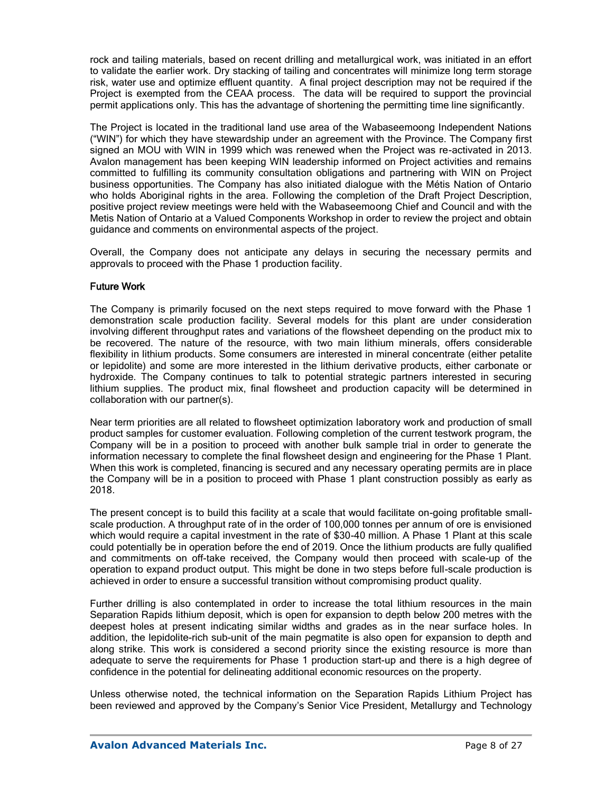rock and tailing materials, based on recent drilling and metallurgical work, was initiated in an effort to validate the earlier work. Dry stacking of tailing and concentrates will minimize long term storage risk, water use and optimize effluent quantity. A final project description may not be required if the Project is exempted from the CEAA process. The data will be required to support the provincial permit applications only. This has the advantage of shortening the permitting time line significantly.

The Project is located in the traditional land use area of the Wabaseemoong Independent Nations ("WIN") for which they have stewardship under an agreement with the Province. The Company first signed an MOU with WIN in 1999 which was renewed when the Project was re-activated in 2013. Avalon management has been keeping WIN leadership informed on Project activities and remains committed to fulfilling its community consultation obligations and partnering with WIN on Project business opportunities. The Company has also initiated dialogue with the Métis Nation of Ontario who holds Aboriginal rights in the area. Following the completion of the Draft Project Description, positive project review meetings were held with the Wabaseemoong Chief and Council and with the Metis Nation of Ontario at a Valued Components Workshop in order to review the project and obtain guidance and comments on environmental aspects of the project.

Overall, the Company does not anticipate any delays in securing the necessary permits and approvals to proceed with the Phase 1 production facility.

### Future Work

The Company is primarily focused on the next steps required to move forward with the Phase 1 demonstration scale production facility. Several models for this plant are under consideration involving different throughput rates and variations of the flowsheet depending on the product mix to be recovered. The nature of the resource, with two main lithium minerals, offers considerable flexibility in lithium products. Some consumers are interested in mineral concentrate (either petalite or lepidolite) and some are more interested in the lithium derivative products, either carbonate or hydroxide. The Company continues to talk to potential strategic partners interested in securing lithium supplies. The product mix, final flowsheet and production capacity will be determined in collaboration with our partner(s).

Near term priorities are all related to flowsheet optimization laboratory work and production of small product samples for customer evaluation. Following completion of the current testwork program, the Company will be in a position to proceed with another bulk sample trial in order to generate the information necessary to complete the final flowsheet design and engineering for the Phase 1 Plant. When this work is completed, financing is secured and any necessary operating permits are in place the Company will be in a position to proceed with Phase 1 plant construction possibly as early as 2018.

The present concept is to build this facility at a scale that would facilitate on-going profitable smallscale production. A throughput rate of in the order of 100,000 tonnes per annum of ore is envisioned which would require a capital investment in the rate of \$30-40 million. A Phase 1 Plant at this scale could potentially be in operation before the end of 2019. Once the lithium products are fully qualified and commitments on off-take received, the Company would then proceed with scale-up of the operation to expand product output. This might be done in two steps before full-scale production is achieved in order to ensure a successful transition without compromising product quality.

Further drilling is also contemplated in order to increase the total lithium resources in the main Separation Rapids lithium deposit, which is open for expansion to depth below 200 metres with the deepest holes at present indicating similar widths and grades as in the near surface holes. In addition, the lepidolite-rich sub-unit of the main pegmatite is also open for expansion to depth and along strike. This work is considered a second priority since the existing resource is more than adequate to serve the requirements for Phase 1 production start-up and there is a high degree of confidence in the potential for delineating additional economic resources on the property.

Unless otherwise noted, the technical information on the Separation Rapids Lithium Project has been reviewed and approved by the Company's Senior Vice President, Metallurgy and Technology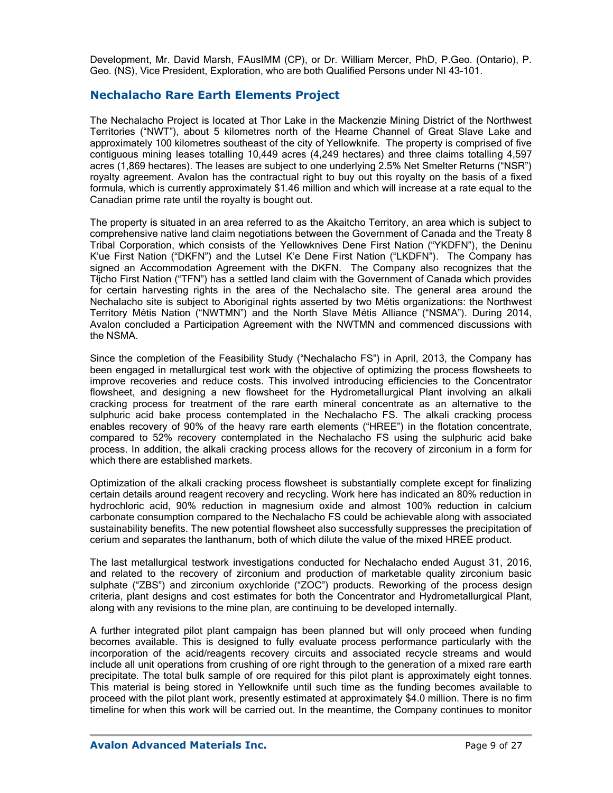Development, Mr. David Marsh, FAusIMM (CP), or Dr. William Mercer, PhD, P.Geo. (Ontario), P. Geo. (NS), Vice President, Exploration, who are both Qualified Persons under NI 43-101.

### **Nechalacho Rare Earth Elements Project**

The Nechalacho Project is located at Thor Lake in the Mackenzie Mining District of the Northwest Territories ("NWT"), about 5 kilometres north of the Hearne Channel of Great Slave Lake and approximately 100 kilometres southeast of the city of Yellowknife. The property is comprised of five contiguous mining leases totalling 10,449 acres (4,249 hectares) and three claims totalling 4,597 acres (1,869 hectares). The leases are subject to one underlying 2.5% Net Smelter Returns ("NSR") royalty agreement. Avalon has the contractual right to buy out this royalty on the basis of a fixed formula, which is currently approximately \$1.46 million and which will increase at a rate equal to the Canadian prime rate until the royalty is bought out.

The property is situated in an area referred to as the Akaitcho Territory, an area which is subject to comprehensive native land claim negotiations between the Government of Canada and the Treaty 8 Tribal Corporation, which consists of the Yellowknives Dene First Nation ("YKDFN"), the Deninu K'ue First Nation ("DKFN") and the Lutsel K'e Dene First Nation ("LKDFN"). The Company has signed an Accommodation Agreement with the DKFN. The Company also recognizes that the Tłįcho First Nation ("TFN") has a settled land claim with the Government of Canada which provides for certain harvesting rights in the area of the Nechalacho site. The general area around the Nechalacho site is subject to Aboriginal rights asserted by two Métis organizations: the Northwest Territory Métis Nation ("NWTMN") and the North Slave Métis Alliance ("NSMA"). During 2014, Avalon concluded a Participation Agreement with the NWTMN and commenced discussions with the NSMA.

Since the completion of the Feasibility Study ("Nechalacho FS") in April, 2013, the Company has been engaged in metallurgical test work with the objective of optimizing the process flowsheets to improve recoveries and reduce costs. This involved introducing efficiencies to the Concentrator flowsheet, and designing a new flowsheet for the Hydrometallurgical Plant involving an alkali cracking process for treatment of the rare earth mineral concentrate as an alternative to the sulphuric acid bake process contemplated in the Nechalacho FS. The alkali cracking process enables recovery of 90% of the heavy rare earth elements ("HREE") in the flotation concentrate, compared to 52% recovery contemplated in the Nechalacho FS using the sulphuric acid bake process. In addition, the alkali cracking process allows for the recovery of zirconium in a form for which there are established markets.

Optimization of the alkali cracking process flowsheet is substantially complete except for finalizing certain details around reagent recovery and recycling. Work here has indicated an 80% reduction in hydrochloric acid, 90% reduction in magnesium oxide and almost 100% reduction in calcium carbonate consumption compared to the Nechalacho FS could be achievable along with associated sustainability benefits. The new potential flowsheet also successfully suppresses the precipitation of cerium and separates the lanthanum, both of which dilute the value of the mixed HREE product.

The last metallurgical testwork investigations conducted for Nechalacho ended August 31, 2016, and related to the recovery of zirconium and production of marketable quality zirconium basic sulphate ("ZBS") and zirconium oxychloride ("ZOC") products. Reworking of the process design criteria, plant designs and cost estimates for both the Concentrator and Hydrometallurgical Plant, along with any revisions to the mine plan, are continuing to be developed internally.

A further integrated pilot plant campaign has been planned but will only proceed when funding becomes available. This is designed to fully evaluate process performance particularly with the incorporation of the acid/reagents recovery circuits and associated recycle streams and would include all unit operations from crushing of ore right through to the generation of a mixed rare earth precipitate. The total bulk sample of ore required for this pilot plant is approximately eight tonnes. This material is being stored in Yellowknife until such time as the funding becomes available to proceed with the pilot plant work, presently estimated at approximately \$4.0 million. There is no firm timeline for when this work will be carried out. In the meantime, the Company continues to monitor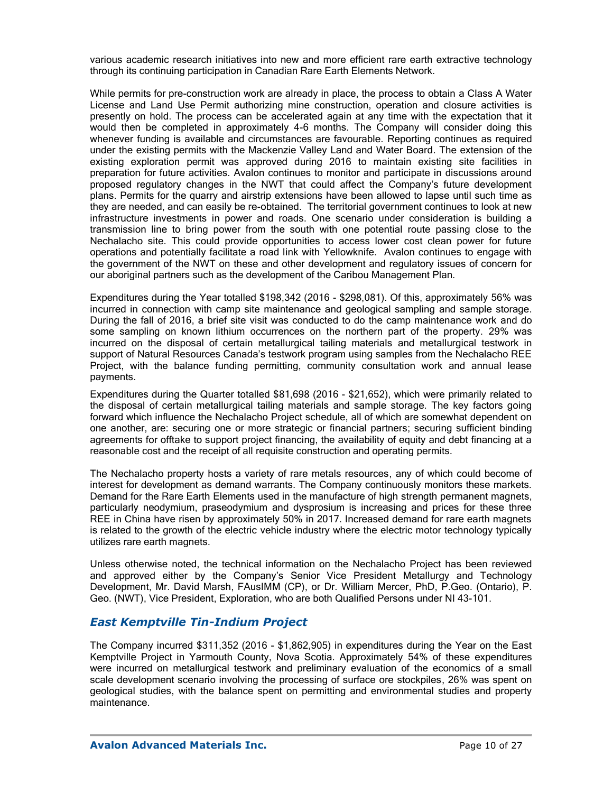various academic research initiatives into new and more efficient rare earth extractive technology through its continuing participation in Canadian Rare Earth Elements Network.

While permits for pre-construction work are already in place, the process to obtain a Class A Water License and Land Use Permit authorizing mine construction, operation and closure activities is presently on hold. The process can be accelerated again at any time with the expectation that it would then be completed in approximately 4-6 months. The Company will consider doing this whenever funding is available and circumstances are favourable. Reporting continues as required under the existing permits with the Mackenzie Valley Land and Water Board. The extension of the existing exploration permit was approved during 2016 to maintain existing site facilities in preparation for future activities. Avalon continues to monitor and participate in discussions around proposed regulatory changes in the NWT that could affect the Company's future development plans. Permits for the quarry and airstrip extensions have been allowed to lapse until such time as they are needed, and can easily be re-obtained. The territorial government continues to look at new infrastructure investments in power and roads. One scenario under consideration is building a transmission line to bring power from the south with one potential route passing close to the Nechalacho site. This could provide opportunities to access lower cost clean power for future operations and potentially facilitate a road link with Yellowknife. Avalon continues to engage with the government of the NWT on these and other development and regulatory issues of concern for our aboriginal partners such as the development of the Caribou Management Plan.

Expenditures during the Year totalled \$198,342 (2016 - \$298,081). Of this, approximately 56% was incurred in connection with camp site maintenance and geological sampling and sample storage. During the fall of 2016, a brief site visit was conducted to do the camp maintenance work and do some sampling on known lithium occurrences on the northern part of the property. 29% was incurred on the disposal of certain metallurgical tailing materials and metallurgical testwork in support of Natural Resources Canada's testwork program using samples from the Nechalacho REE Project, with the balance funding permitting, community consultation work and annual lease payments.

Expenditures during the Quarter totalled \$81,698 (2016 - \$21,652), which were primarily related to the disposal of certain metallurgical tailing materials and sample storage. The key factors going forward which influence the Nechalacho Project schedule, all of which are somewhat dependent on one another, are: securing one or more strategic or financial partners; securing sufficient binding agreements for offtake to support project financing, the availability of equity and debt financing at a reasonable cost and the receipt of all requisite construction and operating permits.

The Nechalacho property hosts a variety of rare metals resources, any of which could become of interest for development as demand warrants. The Company continuously monitors these markets. Demand for the Rare Earth Elements used in the manufacture of high strength permanent magnets, particularly neodymium, praseodymium and dysprosium is increasing and prices for these three REE in China have risen by approximately 50% in 2017. Increased demand for rare earth magnets is related to the growth of the electric vehicle industry where the electric motor technology typically utilizes rare earth magnets.

Unless otherwise noted, the technical information on the Nechalacho Project has been reviewed and approved either by the Company's Senior Vice President Metallurgy and Technology Development, Mr. David Marsh, FAusIMM (CP), or Dr. William Mercer, PhD, P.Geo. (Ontario), P. Geo. (NWT), Vice President, Exploration, who are both Qualified Persons under NI 43-101.

### *East Kemptville Tin-Indium Project*

The Company incurred \$311,352 (2016 - \$1,862,905) in expenditures during the Year on the East Kemptville Project in Yarmouth County, Nova Scotia. Approximately 54% of these expenditures were incurred on metallurgical testwork and preliminary evaluation of the economics of a small scale development scenario involving the processing of surface ore stockpiles, 26% was spent on geological studies, with the balance spent on permitting and environmental studies and property maintenance.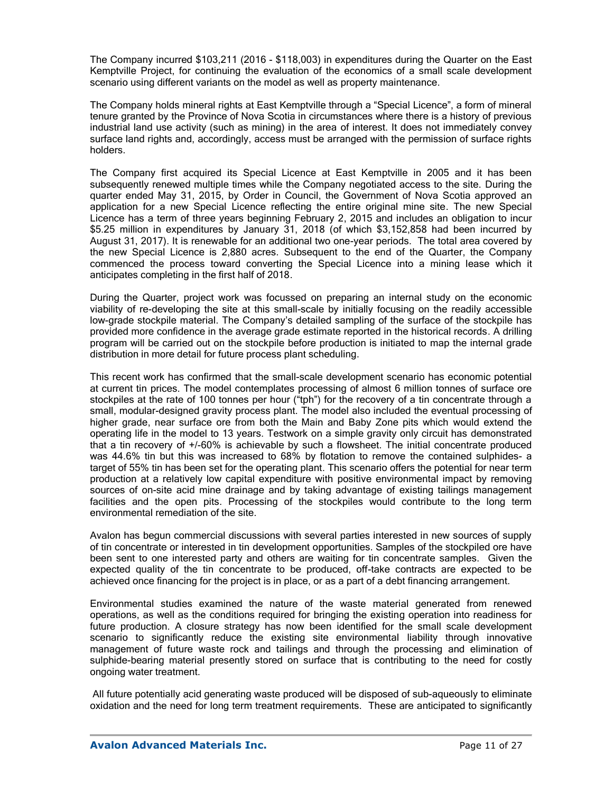The Company incurred \$103,211 (2016 - \$118,003) in expenditures during the Quarter on the East Kemptville Project, for continuing the evaluation of the economics of a small scale development scenario using different variants on the model as well as property maintenance.

The Company holds mineral rights at East Kemptville through a "Special Licence", a form of mineral tenure granted by the Province of Nova Scotia in circumstances where there is a history of previous industrial land use activity (such as mining) in the area of interest. It does not immediately convey surface land rights and, accordingly, access must be arranged with the permission of surface rights holders.

The Company first acquired its Special Licence at East Kemptville in 2005 and it has been subsequently renewed multiple times while the Company negotiated access to the site. During the quarter ended May 31, 2015, by Order in Council, the Government of Nova Scotia approved an application for a new Special Licence reflecting the entire original mine site. The new Special Licence has a term of three years beginning February 2, 2015 and includes an obligation to incur \$5.25 million in expenditures by January 31, 2018 (of which \$3,152,858 had been incurred by August 31, 2017). It is renewable for an additional two one-year periods. The total area covered by the new Special Licence is 2,880 acres. Subsequent to the end of the Quarter, the Company commenced the process toward converting the Special Licence into a mining lease which it anticipates completing in the first half of 2018.

During the Quarter, project work was focussed on preparing an internal study on the economic viability of re-developing the site at this small-scale by initially focusing on the readily accessible low-grade stockpile material. The Company's detailed sampling of the surface of the stockpile has provided more confidence in the average grade estimate reported in the historical records. A drilling program will be carried out on the stockpile before production is initiated to map the internal grade distribution in more detail for future process plant scheduling.

This recent work has confirmed that the small-scale development scenario has economic potential at current tin prices. The model contemplates processing of almost 6 million tonnes of surface ore stockpiles at the rate of 100 tonnes per hour ("tph") for the recovery of a tin concentrate through a small, modular-designed gravity process plant. The model also included the eventual processing of higher grade, near surface ore from both the Main and Baby Zone pits which would extend the operating life in the model to 13 years. Testwork on a simple gravity only circuit has demonstrated that a tin recovery of +/-60% is achievable by such a flowsheet. The initial concentrate produced was 44.6% tin but this was increased to 68% by flotation to remove the contained sulphides- a target of 55% tin has been set for the operating plant. This scenario offers the potential for near term production at a relatively low capital expenditure with positive environmental impact by removing sources of on-site acid mine drainage and by taking advantage of existing tailings management facilities and the open pits. Processing of the stockpiles would contribute to the long term environmental remediation of the site.

Avalon has begun commercial discussions with several parties interested in new sources of supply of tin concentrate or interested in tin development opportunities. Samples of the stockpiled ore have been sent to one interested party and others are waiting for tin concentrate samples. Given the expected quality of the tin concentrate to be produced, off-take contracts are expected to be achieved once financing for the project is in place, or as a part of a debt financing arrangement.

Environmental studies examined the nature of the waste material generated from renewed operations, as well as the conditions required for bringing the existing operation into readiness for future production. A closure strategy has now been identified for the small scale development scenario to significantly reduce the existing site environmental liability through innovative management of future waste rock and tailings and through the processing and elimination of sulphide-bearing material presently stored on surface that is contributing to the need for costly ongoing water treatment.

All future potentially acid generating waste produced will be disposed of sub-aqueously to eliminate oxidation and the need for long term treatment requirements. These are anticipated to significantly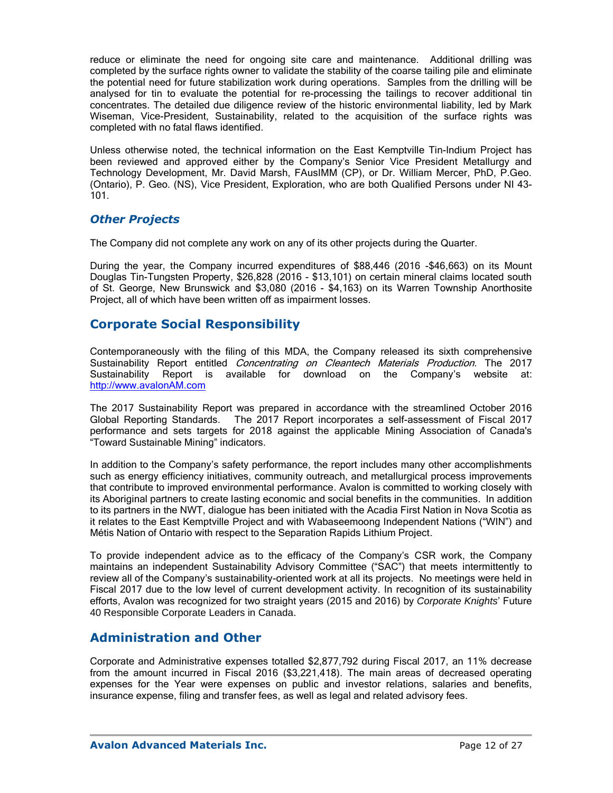reduce or eliminate the need for ongoing site care and maintenance. Additional drilling was completed by the surface rights owner to validate the stability of the coarse tailing pile and eliminate the potential need for future stabilization work during operations. Samples from the drilling will be analysed for tin to evaluate the potential for re-processing the tailings to recover additional tin concentrates. The detailed due diligence review of the historic environmental liability, led by Mark Wiseman, Vice-President, Sustainability, related to the acquisition of the surface rights was completed with no fatal flaws identified.

Unless otherwise noted, the technical information on the East Kemptville Tin-Indium Project has been reviewed and approved either by the Company's Senior Vice President Metallurgy and Technology Development, Mr. David Marsh, FAusIMM (CP), or Dr. William Mercer, PhD, P.Geo. (Ontario), P. Geo. (NS), Vice President, Exploration, who are both Qualified Persons under NI 43- 101.

### *Other Projects*

The Company did not complete any work on any of its other projects during the Quarter.

During the year, the Company incurred expenditures of \$88,446 (2016 -\$46,663) on its Mount Douglas Tin-Tungsten Property, \$26,828 (2016 - \$13,101) on certain mineral claims located south of St. George, New Brunswick and \$3,080 (2016 - \$4,163) on its Warren Township Anorthosite Project, all of which have been written off as impairment losses.

# **Corporate Social Responsibility**

Contemporaneously with the filing of this MDA, the Company released its sixth comprehensive Sustainability Report entitled Concentrating on Cleantech Materials Production. The 2017 Sustainability Report is available for download on the Company's website at: http://www.avalonAM.com

The 2017 Sustainability Report was prepared in accordance with the streamlined October 2016 Global Reporting Standards. The 2017 Report incorporates a self-assessment of Fiscal 2017 performance and sets targets for 2018 against the applicable Mining Association of Canada's "Toward Sustainable Mining" indicators.

In addition to the Company's safety performance, the report includes many other accomplishments such as energy efficiency initiatives, community outreach, and metallurgical process improvements that contribute to improved environmental performance. Avalon is committed to working closely with its Aboriginal partners to create lasting economic and social benefits in the communities. In addition to its partners in the NWT, dialogue has been initiated with the Acadia First Nation in Nova Scotia as it relates to the East Kemptville Project and with Wabaseemoong Independent Nations ("WIN") and Métis Nation of Ontario with respect to the Separation Rapids Lithium Project.

To provide independent advice as to the efficacy of the Company's CSR work, the Company maintains an independent Sustainability Advisory Committee ("SAC") that meets intermittently to review all of the Company's sustainability-oriented work at all its projects. No meetings were held in Fiscal 2017 due to the low level of current development activity. In recognition of its sustainability efforts, Avalon was recognized for two straight years (2015 and 2016) by *Corporate Knights*' Future 40 Responsible Corporate Leaders in Canada.

## **Administration and Other**

Corporate and Administrative expenses totalled \$2,877,792 during Fiscal 2017, an 11% decrease from the amount incurred in Fiscal 2016 (\$3,221,418). The main areas of decreased operating expenses for the Year were expenses on public and investor relations, salaries and benefits, insurance expense, filing and transfer fees, as well as legal and related advisory fees.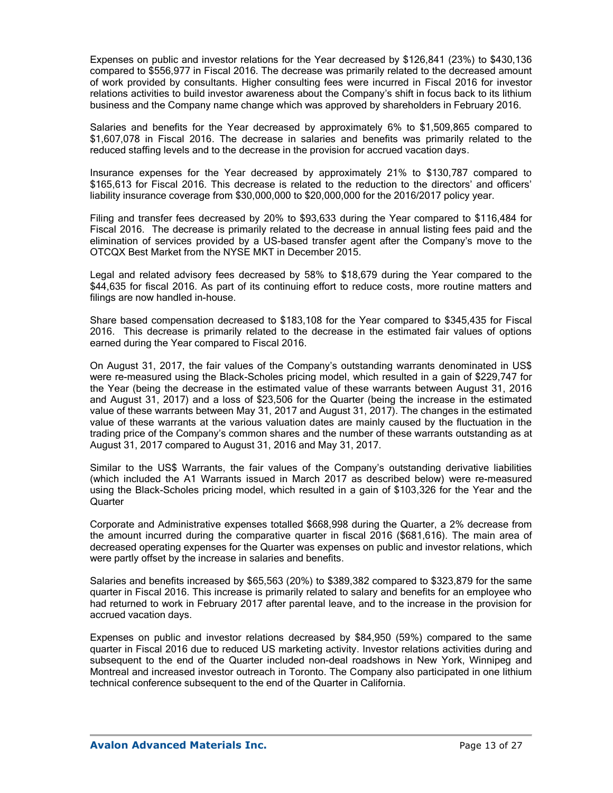Expenses on public and investor relations for the Year decreased by \$126,841 (23%) to \$430,136 compared to \$556,977 in Fiscal 2016. The decrease was primarily related to the decreased amount of work provided by consultants. Higher consulting fees were incurred in Fiscal 2016 for investor relations activities to build investor awareness about the Company's shift in focus back to its lithium business and the Company name change which was approved by shareholders in February 2016.

Salaries and benefits for the Year decreased by approximately 6% to \$1,509,865 compared to \$1,607,078 in Fiscal 2016. The decrease in salaries and benefits was primarily related to the reduced staffing levels and to the decrease in the provision for accrued vacation days.

Insurance expenses for the Year decreased by approximately 21% to \$130,787 compared to \$165,613 for Fiscal 2016. This decrease is related to the reduction to the directors' and officers' liability insurance coverage from \$30,000,000 to \$20,000,000 for the 2016/2017 policy year.

Filing and transfer fees decreased by 20% to \$93,633 during the Year compared to \$116,484 for Fiscal 2016. The decrease is primarily related to the decrease in annual listing fees paid and the elimination of services provided by a US-based transfer agent after the Company's move to the OTCQX Best Market from the NYSE MKT in December 2015.

Legal and related advisory fees decreased by 58% to \$18,679 during the Year compared to the \$44,635 for fiscal 2016. As part of its continuing effort to reduce costs, more routine matters and filings are now handled in-house.

Share based compensation decreased to \$183,108 for the Year compared to \$345,435 for Fiscal 2016. This decrease is primarily related to the decrease in the estimated fair values of options earned during the Year compared to Fiscal 2016.

On August 31, 2017, the fair values of the Company's outstanding warrants denominated in US\$ were re-measured using the Black-Scholes pricing model, which resulted in a gain of \$229,747 for the Year (being the decrease in the estimated value of these warrants between August 31, 2016 and August 31, 2017) and a loss of \$23,506 for the Quarter (being the increase in the estimated value of these warrants between May 31, 2017 and August 31, 2017). The changes in the estimated value of these warrants at the various valuation dates are mainly caused by the fluctuation in the trading price of the Company's common shares and the number of these warrants outstanding as at August 31, 2017 compared to August 31, 2016 and May 31, 2017.

Similar to the US\$ Warrants, the fair values of the Company's outstanding derivative liabilities (which included the A1 Warrants issued in March 2017 as described below) were re-measured using the Black-Scholes pricing model, which resulted in a gain of \$103,326 for the Year and the **Quarter** 

Corporate and Administrative expenses totalled \$668,998 during the Quarter, a 2% decrease from the amount incurred during the comparative quarter in fiscal 2016 (\$681,616). The main area of decreased operating expenses for the Quarter was expenses on public and investor relations, which were partly offset by the increase in salaries and benefits.

Salaries and benefits increased by \$65,563 (20%) to \$389,382 compared to \$323,879 for the same quarter in Fiscal 2016. This increase is primarily related to salary and benefits for an employee who had returned to work in February 2017 after parental leave, and to the increase in the provision for accrued vacation days.

Expenses on public and investor relations decreased by \$84,950 (59%) compared to the same quarter in Fiscal 2016 due to reduced US marketing activity. Investor relations activities during and subsequent to the end of the Quarter included non-deal roadshows in New York, Winnipeg and Montreal and increased investor outreach in Toronto. The Company also participated in one lithium technical conference subsequent to the end of the Quarter in California.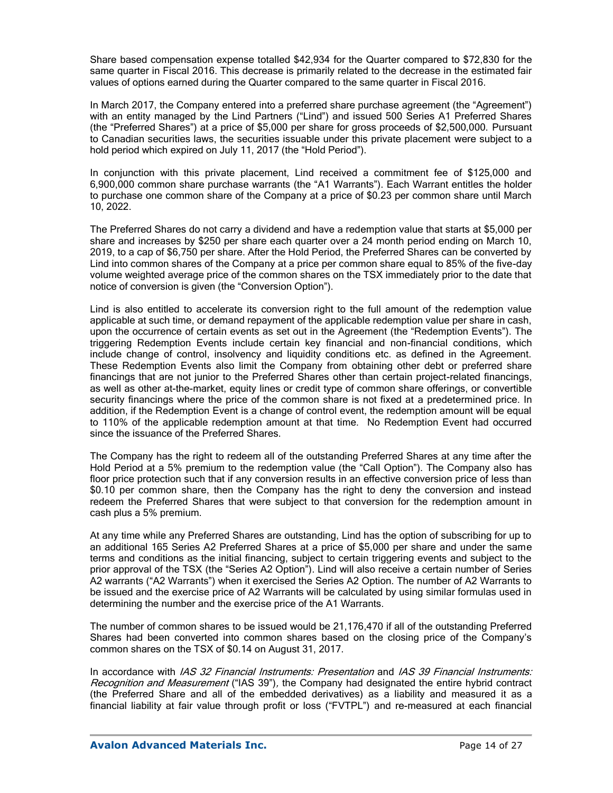Share based compensation expense totalled \$42,934 for the Quarter compared to \$72,830 for the same quarter in Fiscal 2016. This decrease is primarily related to the decrease in the estimated fair values of options earned during the Quarter compared to the same quarter in Fiscal 2016.

In March 2017, the Company entered into a preferred share purchase agreement (the "Agreement") with an entity managed by the Lind Partners ("Lind") and issued 500 Series A1 Preferred Shares (the "Preferred Shares") at a price of \$5,000 per share for gross proceeds of \$2,500,000. Pursuant to Canadian securities laws, the securities issuable under this private placement were subject to a hold period which expired on July 11, 2017 (the "Hold Period").

In conjunction with this private placement, Lind received a commitment fee of \$125,000 and 6,900,000 common share purchase warrants (the "A1 Warrants"). Each Warrant entitles the holder to purchase one common share of the Company at a price of \$0.23 per common share until March 10, 2022.

The Preferred Shares do not carry a dividend and have a redemption value that starts at \$5,000 per share and increases by \$250 per share each quarter over a 24 month period ending on March 10, 2019, to a cap of \$6,750 per share. After the Hold Period, the Preferred Shares can be converted by Lind into common shares of the Company at a price per common share equal to 85% of the five-day volume weighted average price of the common shares on the TSX immediately prior to the date that notice of conversion is given (the "Conversion Option").

Lind is also entitled to accelerate its conversion right to the full amount of the redemption value applicable at such time, or demand repayment of the applicable redemption value per share in cash, upon the occurrence of certain events as set out in the Agreement (the "Redemption Events"). The triggering Redemption Events include certain key financial and non-financial conditions, which include change of control, insolvency and liquidity conditions etc. as defined in the Agreement. These Redemption Events also limit the Company from obtaining other debt or preferred share financings that are not junior to the Preferred Shares other than certain project-related financings, as well as other at-the-market, equity lines or credit type of common share offerings, or convertible security financings where the price of the common share is not fixed at a predetermined price. In addition, if the Redemption Event is a change of control event, the redemption amount will be equal to 110% of the applicable redemption amount at that time. No Redemption Event had occurred since the issuance of the Preferred Shares.

The Company has the right to redeem all of the outstanding Preferred Shares at any time after the Hold Period at a 5% premium to the redemption value (the "Call Option"). The Company also has floor price protection such that if any conversion results in an effective conversion price of less than \$0.10 per common share, then the Company has the right to deny the conversion and instead redeem the Preferred Shares that were subject to that conversion for the redemption amount in cash plus a 5% premium.

At any time while any Preferred Shares are outstanding, Lind has the option of subscribing for up to an additional 165 Series A2 Preferred Shares at a price of \$5,000 per share and under the same terms and conditions as the initial financing, subject to certain triggering events and subject to the prior approval of the TSX (the "Series A2 Option"). Lind will also receive a certain number of Series A2 warrants ("A2 Warrants") when it exercised the Series A2 Option. The number of A2 Warrants to be issued and the exercise price of A2 Warrants will be calculated by using similar formulas used in determining the number and the exercise price of the A1 Warrants.

The number of common shares to be issued would be 21,176,470 if all of the outstanding Preferred Shares had been converted into common shares based on the closing price of the Company's common shares on the TSX of \$0.14 on August 31, 2017.

In accordance with IAS 32 Financial Instruments: Presentation and IAS 39 Financial Instruments: Recognition and Measurement ("IAS 39"), the Company had designated the entire hybrid contract (the Preferred Share and all of the embedded derivatives) as a liability and measured it as a financial liability at fair value through profit or loss ("FVTPL") and re-measured at each financial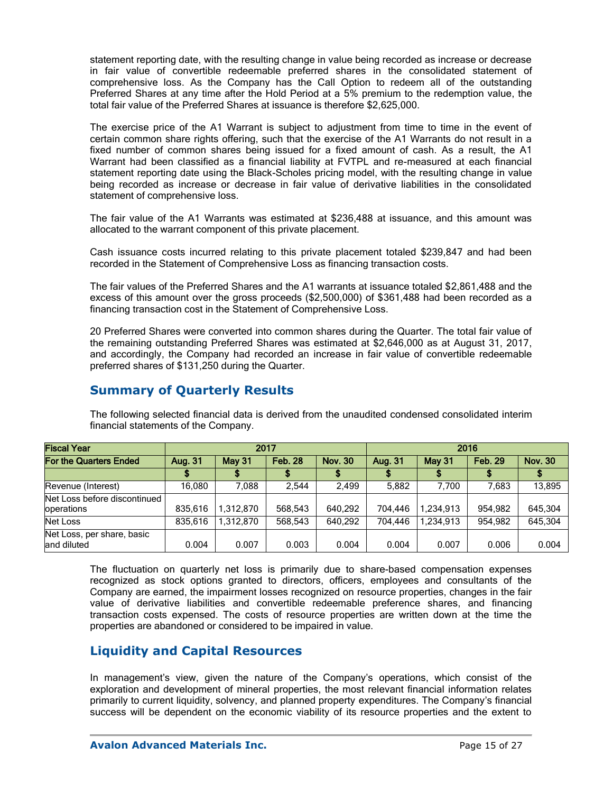statement reporting date, with the resulting change in value being recorded as increase or decrease in fair value of convertible redeemable preferred shares in the consolidated statement of comprehensive loss. As the Company has the Call Option to redeem all of the outstanding Preferred Shares at any time after the Hold Period at a 5% premium to the redemption value, the total fair value of the Preferred Shares at issuance is therefore \$2,625,000.

The exercise price of the A1 Warrant is subject to adjustment from time to time in the event of certain common share rights offering, such that the exercise of the A1 Warrants do not result in a fixed number of common shares being issued for a fixed amount of cash. As a result, the A1 Warrant had been classified as a financial liability at FVTPL and re-measured at each financial statement reporting date using the Black-Scholes pricing model, with the resulting change in value being recorded as increase or decrease in fair value of derivative liabilities in the consolidated statement of comprehensive loss.

The fair value of the A1 Warrants was estimated at \$236,488 at issuance, and this amount was allocated to the warrant component of this private placement.

Cash issuance costs incurred relating to this private placement totaled \$239,847 and had been recorded in the Statement of Comprehensive Loss as financing transaction costs.

The fair values of the Preferred Shares and the A1 warrants at issuance totaled \$2,861,488 and the excess of this amount over the gross proceeds (\$2,500,000) of \$361,488 had been recorded as a financing transaction cost in the Statement of Comprehensive Loss.

20 Preferred Shares were converted into common shares during the Quarter. The total fair value of the remaining outstanding Preferred Shares was estimated at \$2,646,000 as at August 31, 2017, and accordingly, the Company had recorded an increase in fair value of convertible redeemable preferred shares of \$131,250 during the Quarter.

# **Summary of Quarterly Results**

| <b>Fiscal Year</b>                         |                                     |           | 2017           |         | 2016    |                |                |         |  |  |
|--------------------------------------------|-------------------------------------|-----------|----------------|---------|---------|----------------|----------------|---------|--|--|
| For the Quarters Ended                     | <b>Feb. 28</b><br>Aug. 31<br>May 31 |           | <b>Nov. 30</b> | Aug. 31 | May 31  | <b>Feb. 29</b> | <b>Nov. 30</b> |         |  |  |
|                                            |                                     |           |                |         |         |                |                |         |  |  |
| Revenue (Interest)                         | 16.080                              | 7,088     | 2.544          | 2.499   | 5.882   | 7.700          | 7.683          | 13,895  |  |  |
| Net Loss before discontinued<br>operations | 835,616                             | 1.312.870 | 568,543        | 640.292 | 704.446 | 1,234,913      | 954.982        | 645.304 |  |  |
| <b>Net Loss</b>                            | 835.616                             | 1.312.870 | 568,543        | 640.292 | 704.446 | 1,234,913      | 954.982        | 645.304 |  |  |
| Net Loss, per share, basic<br>land diluted | 0.004                               | 0.007     | 0.003          | 0.004   | 0.004   | 0.007          | 0.006          | 0.004   |  |  |

The following selected financial data is derived from the unaudited condensed consolidated interim financial statements of the Company.

The fluctuation on quarterly net loss is primarily due to share-based compensation expenses recognized as stock options granted to directors, officers, employees and consultants of the Company are earned, the impairment losses recognized on resource properties, changes in the fair value of derivative liabilities and convertible redeemable preference shares, and financing transaction costs expensed. The costs of resource properties are written down at the time the properties are abandoned or considered to be impaired in value.

# **Liquidity and Capital Resources**

In management's view, given the nature of the Company's operations, which consist of the exploration and development of mineral properties, the most relevant financial information relates primarily to current liquidity, solvency, and planned property expenditures. The Company's financial success will be dependent on the economic viability of its resource properties and the extent to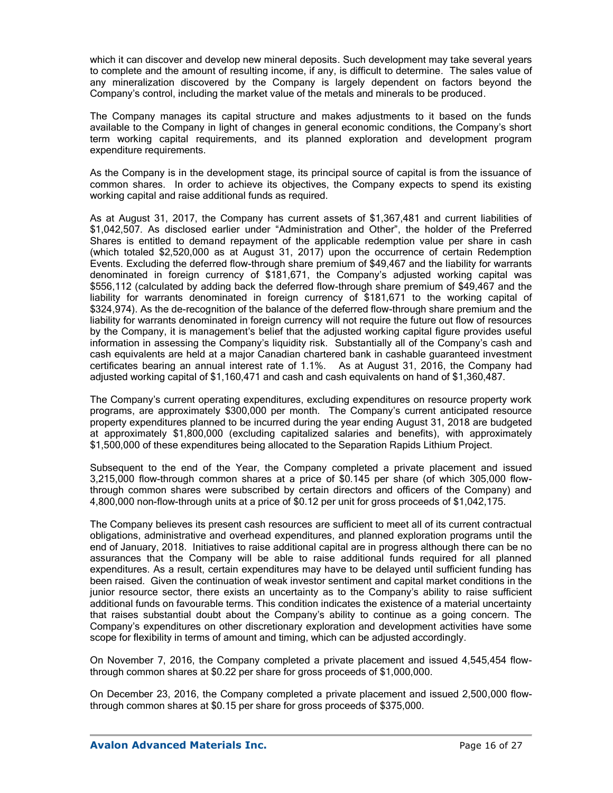which it can discover and develop new mineral deposits. Such development may take several years to complete and the amount of resulting income, if any, is difficult to determine. The sales value of any mineralization discovered by the Company is largely dependent on factors beyond the Company's control, including the market value of the metals and minerals to be produced.

The Company manages its capital structure and makes adjustments to it based on the funds available to the Company in light of changes in general economic conditions, the Company's short term working capital requirements, and its planned exploration and development program expenditure requirements.

As the Company is in the development stage, its principal source of capital is from the issuance of common shares. In order to achieve its objectives, the Company expects to spend its existing working capital and raise additional funds as required.

As at August 31, 2017, the Company has current assets of \$1,367,481 and current liabilities of \$1,042,507. As disclosed earlier under "Administration and Other", the holder of the Preferred Shares is entitled to demand repayment of the applicable redemption value per share in cash (which totaled \$2,520,000 as at August 31, 2017) upon the occurrence of certain Redemption Events. Excluding the deferred flow-through share premium of \$49,467 and the liability for warrants denominated in foreign currency of \$181,671, the Company's adjusted working capital was \$556,112 (calculated by adding back the deferred flow-through share premium of \$49,467 and the liability for warrants denominated in foreign currency of \$181,671 to the working capital of \$324,974). As the de-recognition of the balance of the deferred flow-through share premium and the liability for warrants denominated in foreign currency will not require the future out flow of resources by the Company, it is management's belief that the adjusted working capital figure provides useful information in assessing the Company's liquidity risk. Substantially all of the Company's cash and cash equivalents are held at a major Canadian chartered bank in cashable guaranteed investment certificates bearing an annual interest rate of 1.1%. As at August 31, 2016, the Company had adjusted working capital of \$1,160,471 and cash and cash equivalents on hand of \$1,360,487.

The Company's current operating expenditures, excluding expenditures on resource property work programs, are approximately \$300,000 per month. The Company's current anticipated resource property expenditures planned to be incurred during the year ending August 31, 2018 are budgeted at approximately \$1,800,000 (excluding capitalized salaries and benefits), with approximately \$1,500,000 of these expenditures being allocated to the Separation Rapids Lithium Project.

Subsequent to the end of the Year, the Company completed a private placement and issued 3,215,000 flow-through common shares at a price of \$0.145 per share (of which 305,000 flowthrough common shares were subscribed by certain directors and officers of the Company) and 4,800,000 non-flow-through units at a price of \$0.12 per unit for gross proceeds of \$1,042,175.

The Company believes its present cash resources are sufficient to meet all of its current contractual obligations, administrative and overhead expenditures, and planned exploration programs until the end of January, 2018. Initiatives to raise additional capital are in progress although there can be no assurances that the Company will be able to raise additional funds required for all planned expenditures. As a result, certain expenditures may have to be delayed until sufficient funding has been raised. Given the continuation of weak investor sentiment and capital market conditions in the junior resource sector, there exists an uncertainty as to the Company's ability to raise sufficient additional funds on favourable terms. This condition indicates the existence of a material uncertainty that raises substantial doubt about the Company's ability to continue as a going concern. The Company's expenditures on other discretionary exploration and development activities have some scope for flexibility in terms of amount and timing, which can be adjusted accordingly.

On November 7, 2016, the Company completed a private placement and issued 4,545,454 flowthrough common shares at \$0.22 per share for gross proceeds of \$1,000,000.

On December 23, 2016, the Company completed a private placement and issued 2,500,000 flowthrough common shares at \$0.15 per share for gross proceeds of \$375,000.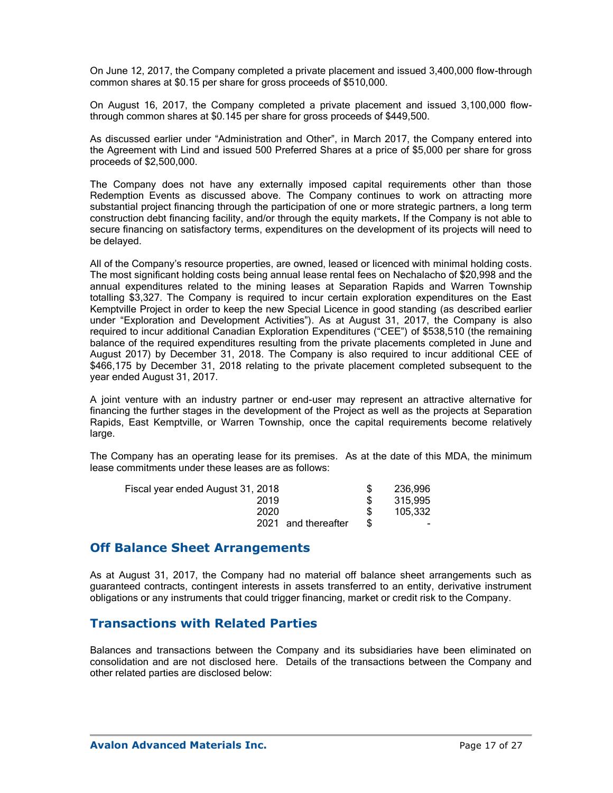On June 12, 2017, the Company completed a private placement and issued 3,400,000 flow-through common shares at \$0.15 per share for gross proceeds of \$510,000.

On August 16, 2017, the Company completed a private placement and issued 3,100,000 flowthrough common shares at \$0.145 per share for gross proceeds of \$449,500.

As discussed earlier under "Administration and Other", in March 2017, the Company entered into the Agreement with Lind and issued 500 Preferred Shares at a price of \$5,000 per share for gross proceeds of \$2,500,000.

The Company does not have any externally imposed capital requirements other than those Redemption Events as discussed above. The Company continues to work on attracting more substantial project financing through the participation of one or more strategic partners, a long term construction debt financing facility, and/or through the equity markets. If the Company is not able to secure financing on satisfactory terms, expenditures on the development of its projects will need to be delayed.

All of the Company's resource properties, are owned, leased or licenced with minimal holding costs. The most significant holding costs being annual lease rental fees on Nechalacho of \$20,998 and the annual expenditures related to the mining leases at Separation Rapids and Warren Township totalling \$3,327. The Company is required to incur certain exploration expenditures on the East Kemptville Project in order to keep the new Special Licence in good standing (as described earlier under "Exploration and Development Activities"). As at August 31, 2017, the Company is also required to incur additional Canadian Exploration Expenditures ("CEE") of \$538,510 (the remaining balance of the required expenditures resulting from the private placements completed in June and August 2017) by December 31, 2018. The Company is also required to incur additional CEE of \$466,175 by December 31, 2018 relating to the private placement completed subsequent to the year ended August 31, 2017.

A joint venture with an industry partner or end-user may represent an attractive alternative for financing the further stages in the development of the Project as well as the projects at Separation Rapids, East Kemptville, or Warren Township, once the capital requirements become relatively large.

The Company has an operating lease for its premises. As at the date of this MDA, the minimum lease commitments under these leases are as follows:

| 236,996                                                                  |
|--------------------------------------------------------------------------|
| 315,995                                                                  |
| 105.332                                                                  |
| $\overline{\phantom{0}}$                                                 |
| Fiscal year ended August 31, 2018<br>2019<br>2020<br>2021 and thereafter |

## **Off Balance Sheet Arrangements**

As at August 31, 2017, the Company had no material off balance sheet arrangements such as guaranteed contracts, contingent interests in assets transferred to an entity, derivative instrument obligations or any instruments that could trigger financing, market or credit risk to the Company.

# **Transactions with Related Parties**

Balances and transactions between the Company and its subsidiaries have been eliminated on consolidation and are not disclosed here. Details of the transactions between the Company and other related parties are disclosed below: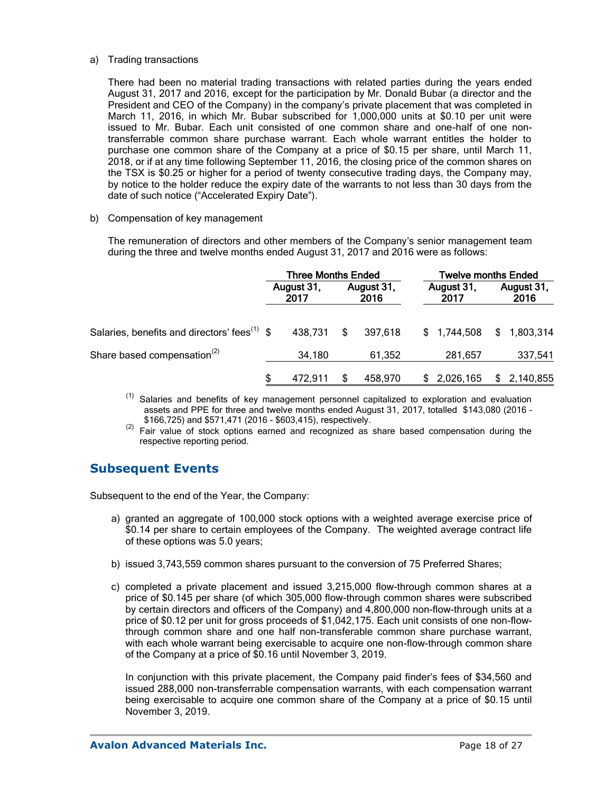#### a) Trading transactions

There had been no material trading transactions with related parties during the years ended August 31, 2017 and 2016, except for the participation by Mr. Donald Bubar (a director and the President and CEO of the Company) in the company's private placement that was completed in March 11, 2016, in which Mr. Bubar subscribed for 1,000,000 units at \$0.10 per unit were issued to Mr. Bubar. Each unit consisted of one common share and one-half of one nontransferrable common share purchase warrant. Each whole warrant entitles the holder to purchase one common share of the Company at a price of \$0.15 per share, until March 11, 2018, or if at any time following September 11, 2016, the closing price of the common shares on the TSX is \$0.25 or higher for a period of twenty consecutive trading days, the Company may, by notice to the holder reduce the expiry date of the warrants to not less than 30 days from the date of such notice ("Accelerated Expiry Date").

#### b) Compensation of key management

The remuneration of directors and other members of the Company's senior management team during the three and twelve months ended August 31, 2017 and 2016 were as follows:

|                                                          | <b>Three Months Ended</b> |         |                    |         |                    | <b>Twelve months Ended</b> |  |                    |  |
|----------------------------------------------------------|---------------------------|---------|--------------------|---------|--------------------|----------------------------|--|--------------------|--|
|                                                          | August 31,<br>2017        |         | August 31,<br>2016 |         | August 31,<br>2017 |                            |  | August 31,<br>2016 |  |
| Salaries, benefits and directors' fees <sup>(1)</sup> \$ |                           | 438.731 | S.                 | 397.618 |                    | \$1,744,508                |  | \$1,803,314        |  |
| Share based compensation <sup>(2)</sup>                  |                           | 34,180  |                    | 61,352  |                    | 281,657                    |  | 337,541            |  |
|                                                          | \$                        | 472.911 |                    | 458,970 |                    | \$2,026,165                |  | \$2,140,855        |  |

- $(1)$  Salaries and benefits of key management personnel capitalized to exploration and evaluation assets and PPE for three and twelve months ended August 31, 2017, totalled \$143,080 (2016 – \$166,725) and \$571,471 (2016 - \$603,415), respectively.
- $(2)$  Fair value of stock options earned and recognized as share based compensation during the respective reporting period.

# **Subsequent Events**

Subsequent to the end of the Year, the Company:

- a) granted an aggregate of 100,000 stock options with a weighted average exercise price of \$0.14 per share to certain employees of the Company. The weighted average contract life of these options was 5.0 years;
- b) issued 3,743,559 common shares pursuant to the conversion of 75 Preferred Shares;
- c) completed a private placement and issued 3,215,000 flow-through common shares at a price of \$0.145 per share (of which 305,000 flow-through common shares were subscribed by certain directors and officers of the Company) and 4,800,000 non-flow-through units at a price of \$0.12 per unit for gross proceeds of \$1,042,175. Each unit consists of one non-flowthrough common share and one half non-transferable common share purchase warrant, with each whole warrant being exercisable to acquire one non-flow-through common share of the Company at a price of \$0.16 until November 3, 2019.

In conjunction with this private placement, the Company paid finder's fees of \$34,560 and issued 288,000 non-transferrable compensation warrants, with each compensation warrant being exercisable to acquire one common share of the Company at a price of \$0.15 until November 3, 2019.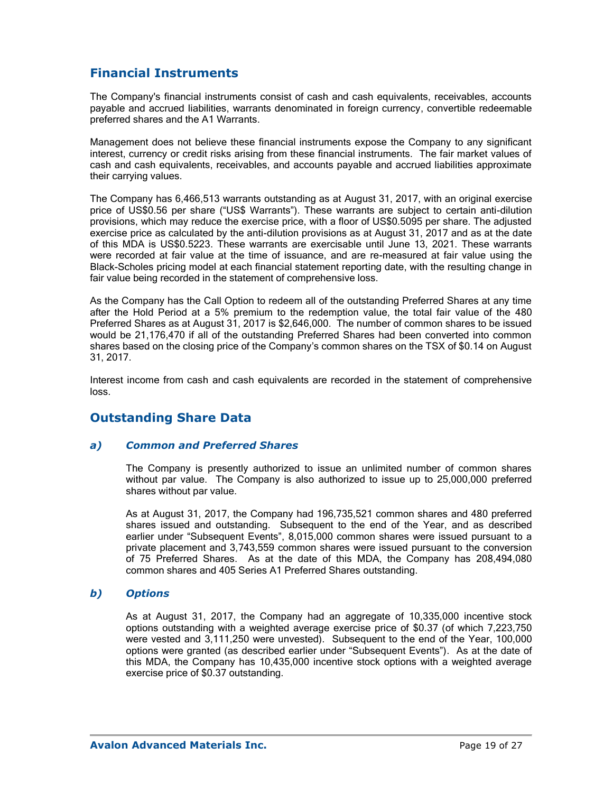# **Financial Instruments**

The Company's financial instruments consist of cash and cash equivalents, receivables, accounts payable and accrued liabilities, warrants denominated in foreign currency, convertible redeemable preferred shares and the A1 Warrants.

Management does not believe these financial instruments expose the Company to any significant interest, currency or credit risks arising from these financial instruments. The fair market values of cash and cash equivalents, receivables, and accounts payable and accrued liabilities approximate their carrying values.

The Company has 6,466,513 warrants outstanding as at August 31, 2017, with an original exercise price of US\$0.56 per share ("US\$ Warrants"). These warrants are subject to certain anti-dilution provisions, which may reduce the exercise price, with a floor of US\$0.5095 per share. The adjusted exercise price as calculated by the anti-dilution provisions as at August 31, 2017 and as at the date of this MDA is US\$0.5223. These warrants are exercisable until June 13, 2021. These warrants were recorded at fair value at the time of issuance, and are re-measured at fair value using the Black-Scholes pricing model at each financial statement reporting date, with the resulting change in fair value being recorded in the statement of comprehensive loss.

As the Company has the Call Option to redeem all of the outstanding Preferred Shares at any time after the Hold Period at a 5% premium to the redemption value, the total fair value of the 480 Preferred Shares as at August 31, 2017 is \$2,646,000. The number of common shares to be issued would be 21,176,470 if all of the outstanding Preferred Shares had been converted into common shares based on the closing price of the Company's common shares on the TSX of \$0.14 on August 31, 2017.

Interest income from cash and cash equivalents are recorded in the statement of comprehensive loss.

# **Outstanding Share Data**

### *a) Common and Preferred Shares*

The Company is presently authorized to issue an unlimited number of common shares without par value. The Company is also authorized to issue up to 25,000,000 preferred shares without par value.

As at August 31, 2017, the Company had 196,735,521 common shares and 480 preferred shares issued and outstanding. Subsequent to the end of the Year, and as described earlier under "Subsequent Events", 8,015,000 common shares were issued pursuant to a private placement and 3,743,559 common shares were issued pursuant to the conversion of 75 Preferred Shares. As at the date of this MDA, the Company has 208,494,080 common shares and 405 Series A1 Preferred Shares outstanding.

### *b) Options*

As at August 31, 2017, the Company had an aggregate of 10,335,000 incentive stock options outstanding with a weighted average exercise price of \$0.37 (of which 7,223,750 were vested and 3,111,250 were unvested). Subsequent to the end of the Year, 100,000 options were granted (as described earlier under "Subsequent Events"). As at the date of this MDA, the Company has 10,435,000 incentive stock options with a weighted average exercise price of \$0.37 outstanding.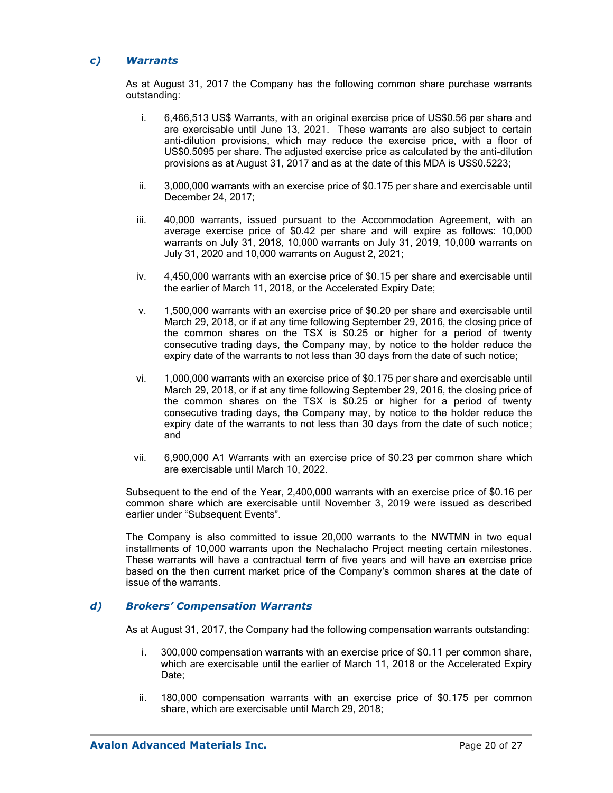### *c) Warrants*

As at August 31, 2017 the Company has the following common share purchase warrants outstanding:

- i. 6,466,513 US\$ Warrants, with an original exercise price of US\$0.56 per share and are exercisable until June 13, 2021. These warrants are also subject to certain anti-dilution provisions, which may reduce the exercise price, with a floor of US\$0.5095 per share. The adjusted exercise price as calculated by the anti-dilution provisions as at August 31, 2017 and as at the date of this MDA is US\$0.5223;
- ii. 3,000,000 warrants with an exercise price of \$0.175 per share and exercisable until December 24, 2017;
- iii. 40,000 warrants, issued pursuant to the Accommodation Agreement, with an average exercise price of \$0.42 per share and will expire as follows: 10,000 warrants on July 31, 2018, 10,000 warrants on July 31, 2019, 10,000 warrants on July 31, 2020 and 10,000 warrants on August 2, 2021;
- iv. 4,450,000 warrants with an exercise price of \$0.15 per share and exercisable until the earlier of March 11, 2018, or the Accelerated Expiry Date;
- v. 1,500,000 warrants with an exercise price of \$0.20 per share and exercisable until March 29, 2018, or if at any time following September 29, 2016, the closing price of the common shares on the TSX is \$0.25 or higher for a period of twenty consecutive trading days, the Company may, by notice to the holder reduce the expiry date of the warrants to not less than 30 days from the date of such notice;
- vi. 1,000,000 warrants with an exercise price of \$0.175 per share and exercisable until March 29, 2018, or if at any time following September 29, 2016, the closing price of the common shares on the TSX is \$0.25 or higher for a period of twenty consecutive trading days, the Company may, by notice to the holder reduce the expiry date of the warrants to not less than 30 days from the date of such notice; and
- vii. 6,900,000 A1 Warrants with an exercise price of \$0.23 per common share which are exercisable until March 10, 2022.

Subsequent to the end of the Year, 2,400,000 warrants with an exercise price of \$0.16 per common share which are exercisable until November 3, 2019 were issued as described earlier under "Subsequent Events".

The Company is also committed to issue 20,000 warrants to the NWTMN in two equal installments of 10,000 warrants upon the Nechalacho Project meeting certain milestones. These warrants will have a contractual term of five years and will have an exercise price based on the then current market price of the Company's common shares at the date of issue of the warrants.

### *d) Brokers' Compensation Warrants*

As at August 31, 2017, the Company had the following compensation warrants outstanding:

- i. 300,000 compensation warrants with an exercise price of \$0.11 per common share, which are exercisable until the earlier of March 11, 2018 or the Accelerated Expiry Date:
- ii. 180,000 compensation warrants with an exercise price of \$0.175 per common share, which are exercisable until March 29, 2018;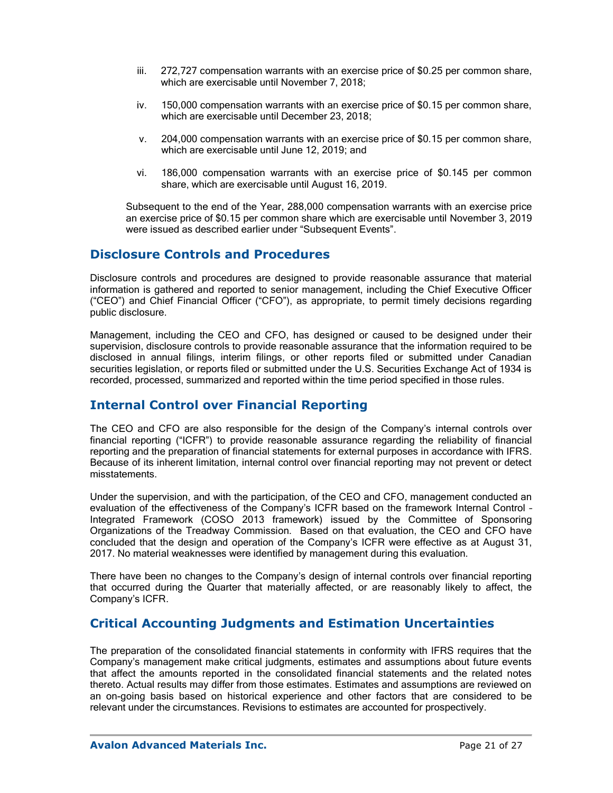- iii. 272,727 compensation warrants with an exercise price of \$0.25 per common share, which are exercisable until November 7, 2018;
- iv. 150,000 compensation warrants with an exercise price of \$0.15 per common share, which are exercisable until December 23, 2018;
- v. 204,000 compensation warrants with an exercise price of \$0.15 per common share, which are exercisable until June 12, 2019; and
- vi. 186,000 compensation warrants with an exercise price of \$0.145 per common share, which are exercisable until August 16, 2019.

Subsequent to the end of the Year, 288,000 compensation warrants with an exercise price an exercise price of \$0.15 per common share which are exercisable until November 3, 2019 were issued as described earlier under "Subsequent Events".

### **Disclosure Controls and Procedures**

Disclosure controls and procedures are designed to provide reasonable assurance that material information is gathered and reported to senior management, including the Chief Executive Officer ("CEO") and Chief Financial Officer ("CFO"), as appropriate, to permit timely decisions regarding public disclosure.

Management, including the CEO and CFO, has designed or caused to be designed under their supervision, disclosure controls to provide reasonable assurance that the information required to be disclosed in annual filings, interim filings, or other reports filed or submitted under Canadian securities legislation, or reports filed or submitted under the U.S. Securities Exchange Act of 1934 is recorded, processed, summarized and reported within the time period specified in those rules.

# **Internal Control over Financial Reporting**

The CEO and CFO are also responsible for the design of the Company's internal controls over financial reporting ("ICFR") to provide reasonable assurance regarding the reliability of financial reporting and the preparation of financial statements for external purposes in accordance with IFRS. Because of its inherent limitation, internal control over financial reporting may not prevent or detect misstatements.

Under the supervision, and with the participation, of the CEO and CFO, management conducted an evaluation of the effectiveness of the Company's ICFR based on the framework Internal Control – Integrated Framework (COSO 2013 framework) issued by the Committee of Sponsoring Organizations of the Treadway Commission. Based on that evaluation, the CEO and CFO have concluded that the design and operation of the Company's ICFR were effective as at August 31, 2017. No material weaknesses were identified by management during this evaluation.

There have been no changes to the Company's design of internal controls over financial reporting that occurred during the Quarter that materially affected, or are reasonably likely to affect, the Company's ICFR.

# **Critical Accounting Judgments and Estimation Uncertainties**

The preparation of the consolidated financial statements in conformity with IFRS requires that the Company's management make critical judgments, estimates and assumptions about future events that affect the amounts reported in the consolidated financial statements and the related notes thereto. Actual results may differ from those estimates. Estimates and assumptions are reviewed on an on-going basis based on historical experience and other factors that are considered to be relevant under the circumstances. Revisions to estimates are accounted for prospectively.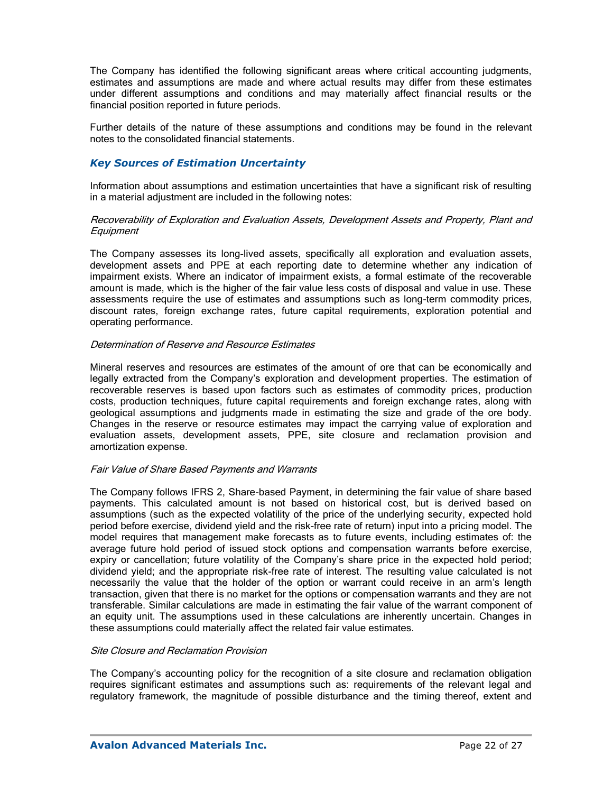The Company has identified the following significant areas where critical accounting judgments, estimates and assumptions are made and where actual results may differ from these estimates under different assumptions and conditions and may materially affect financial results or the financial position reported in future periods.

Further details of the nature of these assumptions and conditions may be found in the relevant notes to the consolidated financial statements.

### *Key Sources of Estimation Uncertainty*

Information about assumptions and estimation uncertainties that have a significant risk of resulting in a material adjustment are included in the following notes:

#### Recoverability of Exploration and Evaluation Assets, Development Assets and Property, Plant and **Equipment**

The Company assesses its long-lived assets, specifically all exploration and evaluation assets, development assets and PPE at each reporting date to determine whether any indication of impairment exists. Where an indicator of impairment exists, a formal estimate of the recoverable amount is made, which is the higher of the fair value less costs of disposal and value in use. These assessments require the use of estimates and assumptions such as long-term commodity prices, discount rates, foreign exchange rates, future capital requirements, exploration potential and operating performance.

#### Determination of Reserve and Resource Estimates

Mineral reserves and resources are estimates of the amount of ore that can be economically and legally extracted from the Company's exploration and development properties. The estimation of recoverable reserves is based upon factors such as estimates of commodity prices, production costs, production techniques, future capital requirements and foreign exchange rates, along with geological assumptions and judgments made in estimating the size and grade of the ore body. Changes in the reserve or resource estimates may impact the carrying value of exploration and evaluation assets, development assets, PPE, site closure and reclamation provision and amortization expense.

#### Fair Value of Share Based Payments and Warrants

The Company follows IFRS 2, Share-based Payment, in determining the fair value of share based payments. This calculated amount is not based on historical cost, but is derived based on assumptions (such as the expected volatility of the price of the underlying security, expected hold period before exercise, dividend yield and the risk-free rate of return) input into a pricing model. The model requires that management make forecasts as to future events, including estimates of: the average future hold period of issued stock options and compensation warrants before exercise, expiry or cancellation; future volatility of the Company's share price in the expected hold period; dividend yield; and the appropriate risk-free rate of interest. The resulting value calculated is not necessarily the value that the holder of the option or warrant could receive in an arm's length transaction, given that there is no market for the options or compensation warrants and they are not transferable. Similar calculations are made in estimating the fair value of the warrant component of an equity unit. The assumptions used in these calculations are inherently uncertain. Changes in these assumptions could materially affect the related fair value estimates.

#### Site Closure and Reclamation Provision

The Company's accounting policy for the recognition of a site closure and reclamation obligation requires significant estimates and assumptions such as: requirements of the relevant legal and regulatory framework, the magnitude of possible disturbance and the timing thereof, extent and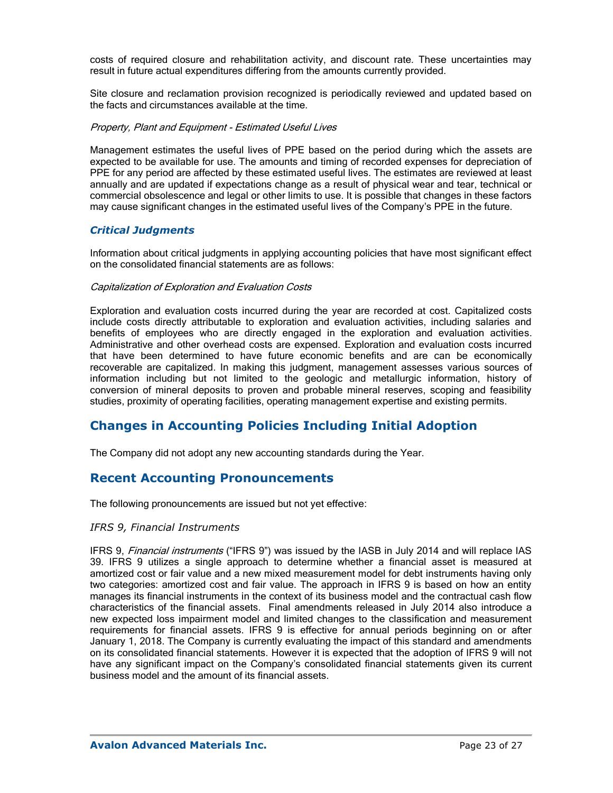costs of required closure and rehabilitation activity, and discount rate. These uncertainties may result in future actual expenditures differing from the amounts currently provided.

Site closure and reclamation provision recognized is periodically reviewed and updated based on the facts and circumstances available at the time.

#### Property, Plant and Equipment - Estimated Useful Lives

Management estimates the useful lives of PPE based on the period during which the assets are expected to be available for use. The amounts and timing of recorded expenses for depreciation of PPE for any period are affected by these estimated useful lives. The estimates are reviewed at least annually and are updated if expectations change as a result of physical wear and tear, technical or commercial obsolescence and legal or other limits to use. It is possible that changes in these factors may cause significant changes in the estimated useful lives of the Company's PPE in the future.

#### *Critical Judgments*

Information about critical judgments in applying accounting policies that have most significant effect on the consolidated financial statements are as follows:

#### Capitalization of Exploration and Evaluation Costs

Exploration and evaluation costs incurred during the year are recorded at cost. Capitalized costs include costs directly attributable to exploration and evaluation activities, including salaries and benefits of employees who are directly engaged in the exploration and evaluation activities. Administrative and other overhead costs are expensed. Exploration and evaluation costs incurred that have been determined to have future economic benefits and are can be economically recoverable are capitalized. In making this judgment, management assesses various sources of information including but not limited to the geologic and metallurgic information, history of conversion of mineral deposits to proven and probable mineral reserves, scoping and feasibility studies, proximity of operating facilities, operating management expertise and existing permits.

## **Changes in Accounting Policies Including Initial Adoption**

The Company did not adopt any new accounting standards during the Year.

### **Recent Accounting Pronouncements**

The following pronouncements are issued but not yet effective:

#### *IFRS 9, Financial Instruments*

IFRS 9, Financial instruments ("IFRS 9") was issued by the IASB in July 2014 and will replace IAS 39. IFRS 9 utilizes a single approach to determine whether a financial asset is measured at amortized cost or fair value and a new mixed measurement model for debt instruments having only two categories: amortized cost and fair value. The approach in IFRS 9 is based on how an entity manages its financial instruments in the context of its business model and the contractual cash flow characteristics of the financial assets. Final amendments released in July 2014 also introduce a new expected loss impairment model and limited changes to the classification and measurement requirements for financial assets. IFRS 9 is effective for annual periods beginning on or after January 1, 2018. The Company is currently evaluating the impact of this standard and amendments on its consolidated financial statements. However it is expected that the adoption of IFRS 9 will not have any significant impact on the Company's consolidated financial statements given its current business model and the amount of its financial assets.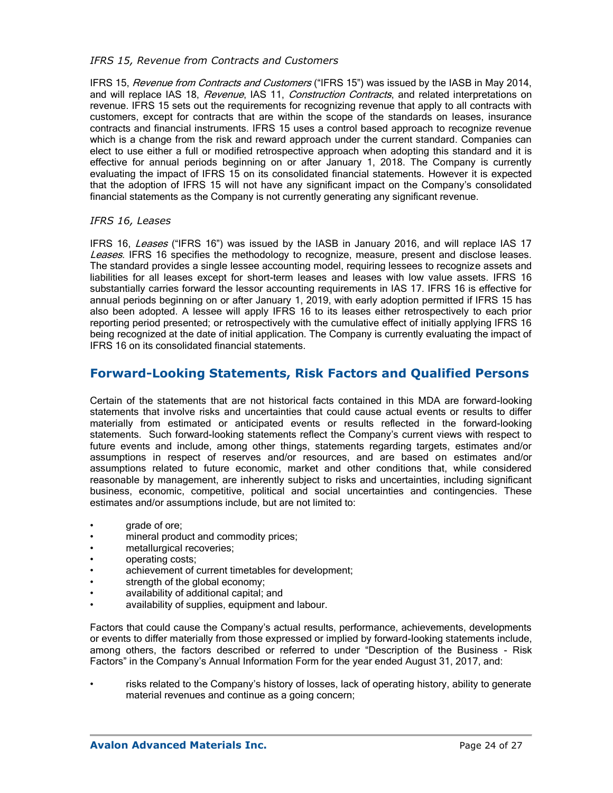### *IFRS 15, Revenue from Contracts and Customers*

IFRS 15, Revenue from Contracts and Customers ("IFRS 15") was issued by the IASB in May 2014, and will replace IAS 18, Revenue, IAS 11, Construction Contracts, and related interpretations on revenue. IFRS 15 sets out the requirements for recognizing revenue that apply to all contracts with customers, except for contracts that are within the scope of the standards on leases, insurance contracts and financial instruments. IFRS 15 uses a control based approach to recognize revenue which is a change from the risk and reward approach under the current standard. Companies can elect to use either a full or modified retrospective approach when adopting this standard and it is effective for annual periods beginning on or after January 1, 2018. The Company is currently evaluating the impact of IFRS 15 on its consolidated financial statements. However it is expected that the adoption of IFRS 15 will not have any significant impact on the Company's consolidated financial statements as the Company is not currently generating any significant revenue.

### *IFRS 16, Leases*

IFRS 16, Leases ("IFRS 16") was issued by the IASB in January 2016, and will replace IAS 17 Leases. IFRS 16 specifies the methodology to recognize, measure, present and disclose leases. The standard provides a single lessee accounting model, requiring lessees to recognize assets and liabilities for all leases except for short-term leases and leases with low value assets. IFRS 16 substantially carries forward the lessor accounting requirements in IAS 17. IFRS 16 is effective for annual periods beginning on or after January 1, 2019, with early adoption permitted if IFRS 15 has also been adopted. A lessee will apply IFRS 16 to its leases either retrospectively to each prior reporting period presented; or retrospectively with the cumulative effect of initially applying IFRS 16 being recognized at the date of initial application. The Company is currently evaluating the impact of IFRS 16 on its consolidated financial statements.

## **Forward-Looking Statements, Risk Factors and Qualified Persons**

Certain of the statements that are not historical facts contained in this MDA are forward-looking statements that involve risks and uncertainties that could cause actual events or results to differ materially from estimated or anticipated events or results reflected in the forward-looking statements. Such forward-looking statements reflect the Company's current views with respect to future events and include, among other things, statements regarding targets, estimates and/or assumptions in respect of reserves and/or resources, and are based on estimates and/or assumptions related to future economic, market and other conditions that, while considered reasonable by management, are inherently subject to risks and uncertainties, including significant business, economic, competitive, political and social uncertainties and contingencies. These estimates and/or assumptions include, but are not limited to:

- **grade of ore:**
- mineral product and commodity prices;
- metallurgical recoveries;
- operating costs;
- achievement of current timetables for development;
- strength of the global economy;
- availability of additional capital; and
- availability of supplies, equipment and labour.

Factors that could cause the Company's actual results, performance, achievements, developments or events to differ materially from those expressed or implied by forward-looking statements include, among others, the factors described or referred to under "Description of the Business - Risk Factors" in the Company's Annual Information Form for the year ended August 31, 2017, and:

• risks related to the Company's history of losses, lack of operating history, ability to generate material revenues and continue as a going concern;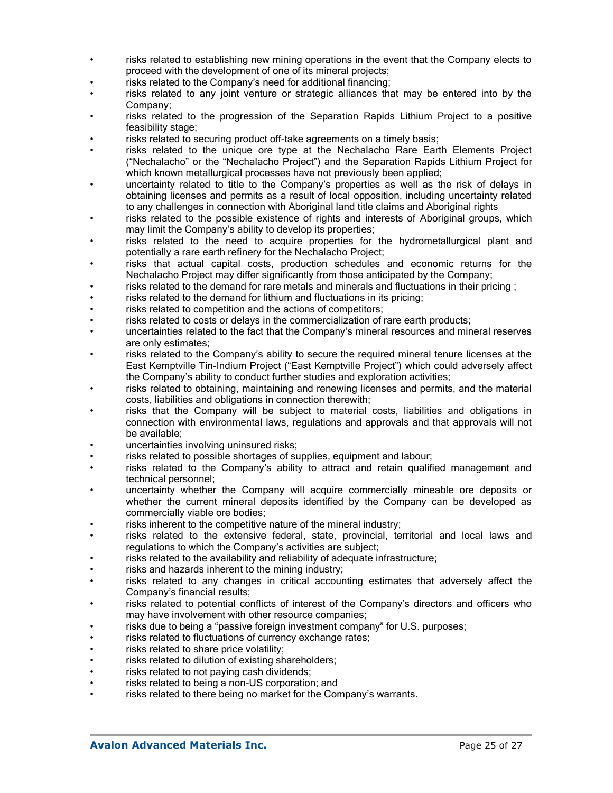- risks related to establishing new mining operations in the event that the Company elects to proceed with the development of one of its mineral projects;
- risks related to the Company's need for additional financing;
- risks related to any joint venture or strategic alliances that may be entered into by the Company;
- risks related to the progression of the Separation Rapids Lithium Project to a positive feasibility stage;
- risks related to securing product off-take agreements on a timely basis;
- risks related to the unique ore type at the Nechalacho Rare Earth Elements Project ("Nechalacho" or the "Nechalacho Project") and the Separation Rapids Lithium Project for which known metallurgical processes have not previously been applied;
- uncertainty related to title to the Company's properties as well as the risk of delays in obtaining licenses and permits as a result of local opposition, including uncertainty related to any challenges in connection with Aboriginal land title claims and Aboriginal rights
- risks related to the possible existence of rights and interests of Aboriginal groups, which may limit the Company's ability to develop its properties;
- risks related to the need to acquire properties for the hydrometallurgical plant and potentially a rare earth refinery for the Nechalacho Project;
- risks that actual capital costs, production schedules and economic returns for the Nechalacho Project may differ significantly from those anticipated by the Company;
- risks related to the demand for rare metals and minerals and fluctuations in their pricing ;
- risks related to the demand for lithium and fluctuations in its pricing;
- risks related to competition and the actions of competitors;
- risks related to costs or delays in the commercialization of rare earth products;
- uncertainties related to the fact that the Company's mineral resources and mineral reserves are only estimates;
- risks related to the Company's ability to secure the required mineral tenure licenses at the East Kemptville Tin-Indium Project ("East Kemptville Project") which could adversely affect the Company's ability to conduct further studies and exploration activities;
- risks related to obtaining, maintaining and renewing licenses and permits, and the material costs, liabilities and obligations in connection therewith;
- risks that the Company will be subject to material costs, liabilities and obligations in connection with environmental laws, regulations and approvals and that approvals will not be available;
- uncertainties involving uninsured risks;
- risks related to possible shortages of supplies, equipment and labour;
- risks related to the Company's ability to attract and retain qualified management and technical personnel;
- uncertainty whether the Company will acquire commercially mineable ore deposits or whether the current mineral deposits identified by the Company can be developed as commercially viable ore bodies;
- risks inherent to the competitive nature of the mineral industry;
- risks related to the extensive federal, state, provincial, territorial and local laws and regulations to which the Company's activities are subject;
- risks related to the availability and reliability of adequate infrastructure;
- risks and hazards inherent to the mining industry;
- risks related to any changes in critical accounting estimates that adversely affect the Company's financial results;
- risks related to potential conflicts of interest of the Company's directors and officers who may have involvement with other resource companies;
- risks due to being a "passive foreign investment company" for U.S. purposes;
- risks related to fluctuations of currency exchange rates;
- risks related to share price volatility;
- risks related to dilution of existing shareholders;
- risks related to not paying cash dividends;
- risks related to being a non-US corporation; and
- risks related to there being no market for the Company's warrants.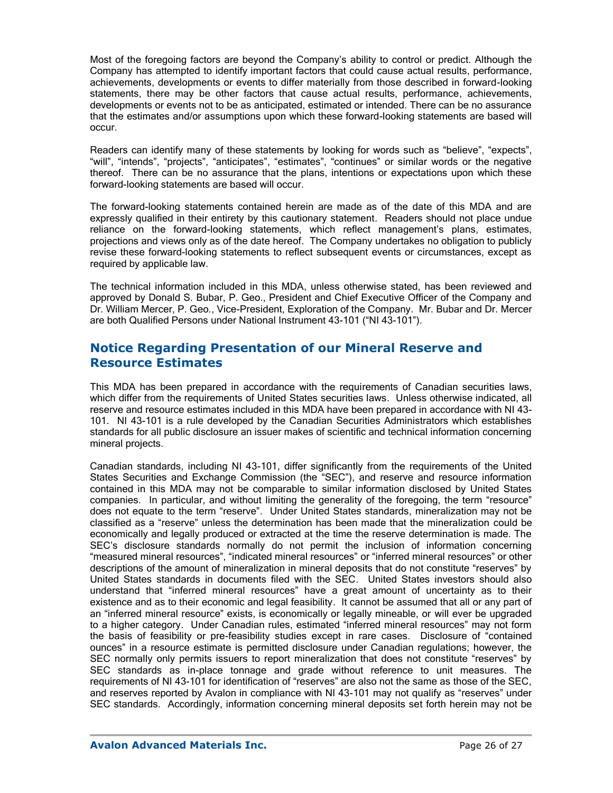Most of the foregoing factors are beyond the Company's ability to control or predict. Although the Company has attempted to identify important factors that could cause actual results, performance, achievements, developments or events to differ materially from those described in forward-looking statements, there may be other factors that cause actual results, performance, achievements, developments or events not to be as anticipated, estimated or intended. There can be no assurance that the estimates and/or assumptions upon which these forward-looking statements are based will occur.

Readers can identify many of these statements by looking for words such as "believe", "expects", "will", "intends", "projects", "anticipates", "estimates", "continues" or similar words or the negative thereof. There can be no assurance that the plans, intentions or expectations upon which these forward-looking statements are based will occur.

The forward-looking statements contained herein are made as of the date of this MDA and are expressly qualified in their entirety by this cautionary statement. Readers should not place undue reliance on the forward-looking statements, which reflect management's plans, estimates, projections and views only as of the date hereof. The Company undertakes no obligation to publicly revise these forward-looking statements to reflect subsequent events or circumstances, except as required by applicable law.

The technical information included in this MDA, unless otherwise stated, has been reviewed and approved by Donald S. Bubar, P. Geo., President and Chief Executive Officer of the Company and Dr. William Mercer, P. Geo., Vice-President, Exploration of the Company. Mr. Bubar and Dr. Mercer are both Qualified Persons under National Instrument 43-101 ("NI 43-101").

# **Notice Regarding Presentation of our Mineral Reserve and Resource Estimates**

This MDA has been prepared in accordance with the requirements of Canadian securities laws, which differ from the requirements of United States securities laws. Unless otherwise indicated, all reserve and resource estimates included in this MDA have been prepared in accordance with NI 43- 101. NI 43-101 is a rule developed by the Canadian Securities Administrators which establishes standards for all public disclosure an issuer makes of scientific and technical information concerning mineral projects.

Canadian standards, including NI 43-101, differ significantly from the requirements of the United States Securities and Exchange Commission (the "SEC"), and reserve and resource information contained in this MDA may not be comparable to similar information disclosed by United States companies. In particular, and without limiting the generality of the foregoing, the term "resource" does not equate to the term "reserve". Under United States standards, mineralization may not be classified as a "reserve" unless the determination has been made that the mineralization could be economically and legally produced or extracted at the time the reserve determination is made. The SEC's disclosure standards normally do not permit the inclusion of information concerning "measured mineral resources", "indicated mineral resources" or "inferred mineral resources" or other descriptions of the amount of mineralization in mineral deposits that do not constitute "reserves" by United States standards in documents filed with the SEC. United States investors should also understand that "inferred mineral resources" have a great amount of uncertainty as to their existence and as to their economic and legal feasibility. It cannot be assumed that all or any part of an "inferred mineral resource" exists, is economically or legally mineable, or will ever be upgraded to a higher category. Under Canadian rules, estimated "inferred mineral resources" may not form the basis of feasibility or pre-feasibility studies except in rare cases. Disclosure of "contained ounces" in a resource estimate is permitted disclosure under Canadian regulations; however, the SEC normally only permits issuers to report mineralization that does not constitute "reserves" by SEC standards as in-place tonnage and grade without reference to unit measures. The requirements of NI 43-101 for identification of "reserves" are also not the same as those of the SEC, and reserves reported by Avalon in compliance with NI 43-101 may not qualify as "reserves" under SEC standards. Accordingly, information concerning mineral deposits set forth herein may not be